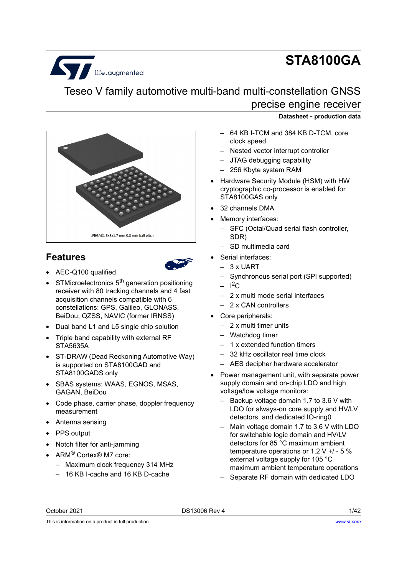# life.augmented

## **STA8100GA**

## Teseo V family automotive multi-band multi-constellation GNSS precise engine receiver



## <span id="page-0-0"></span>**Features**



- AEC-Q100 qualified
- STMicroelectronics  $5<sup>th</sup>$  generation positioning receiver with 80 tracking channels and 4 fast acquisition channels compatible with 6 constellations: GPS, Galileo, GLONASS, BeiDou, QZSS, NAVIC (former IRNSS)
- Dual band L1 and L5 single chip solution
- Triple band capability with external RF STA5635A
- ST-DRAW (Dead Reckoning Automotive Way) is supported on STA8100GAD and STA8100GADS only
- SBAS systems: WAAS, EGNOS, MSAS, GAGAN, BeiDou
- Code phase, carrier phase, doppler frequency measurement
- Antenna sensing
- PPS output
- Notch filter for anti-jamming
- ARM<sup>®</sup> Cortex® M7 core:
	- Maximum clock frequency 314 MHz
	- 16 KB I-cache and 16 KB D-cache

## **Datasheet** - **production data**

- 64 KB I-TCM and 384 KB D-TCM, core clock speed
- Nested vector interrupt controller
- JTAG debugging capability
- 256 Kbyte system RAM
- Hardware Security Module (HSM) with HW cryptographic co-processor is enabled for STA8100GAS only
- 32 channels DMA
- Memory interfaces:
	- SFC (Octal/Quad serial flash controller, SDR)
	- SD multimedia card
- Serial interfaces:
	- $-3$  x UART
	- Synchronous serial port (SPI supported)
	- $1^2C$
	- 2 x multi mode serial interfaces
	- 2 x CAN controllers
- Core peripherals:
	- 2 x multi timer units
	- Watchdog timer
	- 1 x extended function timers
	- 32 kHz oscillator real time clock
	- AES decipher hardware accelerator
- Power management unit, with separate power supply domain and on-chip LDO and high voltage/low voltage monitors:
	- Backup voltage domain 1.7 to 3.6 V with LDO for always-on core supply and HV/LV detectors, and dedicated IO-ring0
	- Main voltage domain 1.7 to 3.6 V with LDO for switchable logic domain and HV/LV detectors for 85 °C maximum ambient temperature operations or 1.2 V +/ - 5 % external voltage supply for 105 °C maximum ambient temperature operations
	- Separate RF domain with dedicated LDO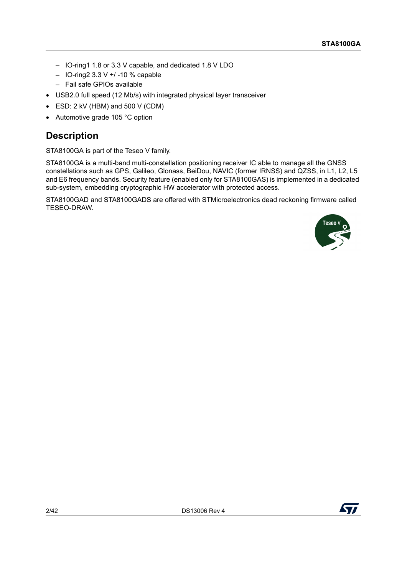- IO-ring1 1.8 or 3.3 V capable, and dedicated 1.8 V LDO
- IO-ring2 3.3 V +/ -10 % capable
- Fail safe GPIOs available
- USB2.0 full speed (12 Mb/s) with integrated physical layer transceiver
- ESD: 2 kV (HBM) and 500 V (CDM)
- Automotive grade 105 °C option

## <span id="page-1-0"></span>**Description**

STA8100GA is part of the Teseo V family.

STA8100GA is a multi-band multi-constellation positioning receiver IC able to manage all the GNSS constellations such as GPS, Galileo, Glonass, BeiDou, NAVIC (former IRNSS) and QZSS, in L1, L2, L5 and E6 frequency bands. Security feature (enabled only for STA8100GAS) is implemented in a dedicated sub-system, embedding cryptographic HW accelerator with protected access.

STA8100GAD and STA8100GADS are offered with STMicroelectronics dead reckoning firmware called TESEO-DRAW.



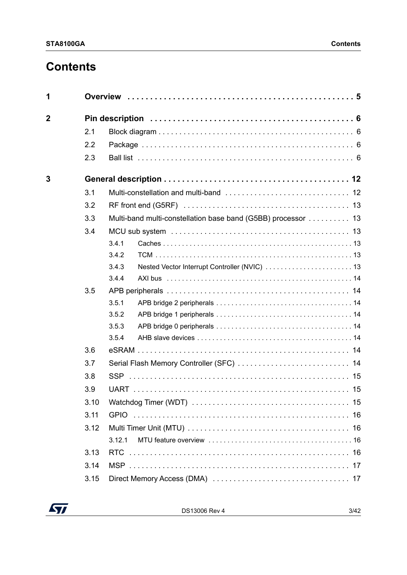## **Contents**

| 1              |      |        |                                                               |
|----------------|------|--------|---------------------------------------------------------------|
| $\overline{2}$ |      |        |                                                               |
|                | 2.1  |        |                                                               |
|                | 2.2  |        |                                                               |
|                | 2.3  |        |                                                               |
| 3              |      |        |                                                               |
|                | 3.1  |        |                                                               |
|                | 3.2  |        |                                                               |
|                | 3.3  |        | Multi-band multi-constellation base band (G5BB) processor  13 |
|                | 3.4  |        |                                                               |
|                |      | 3.4.1  |                                                               |
|                |      | 3.4.2  |                                                               |
|                |      | 3.4.3  |                                                               |
|                |      | 3.4.4  |                                                               |
|                | 3.5  |        |                                                               |
|                |      | 3.5.1  |                                                               |
|                |      | 3.5.2  |                                                               |
|                |      | 3.5.3  |                                                               |
|                |      | 3.5.4  |                                                               |
|                | 3.6  |        |                                                               |
|                | 3.7  |        |                                                               |
|                | 3.8  |        |                                                               |
|                | 3.9  |        |                                                               |
|                | 3.10 |        |                                                               |
|                | 3.11 |        |                                                               |
|                | 3.12 |        |                                                               |
|                |      | 3.12.1 |                                                               |
|                | 3.13 | RTC.   |                                                               |
|                | 3.14 |        |                                                               |
|                | 3.15 |        |                                                               |

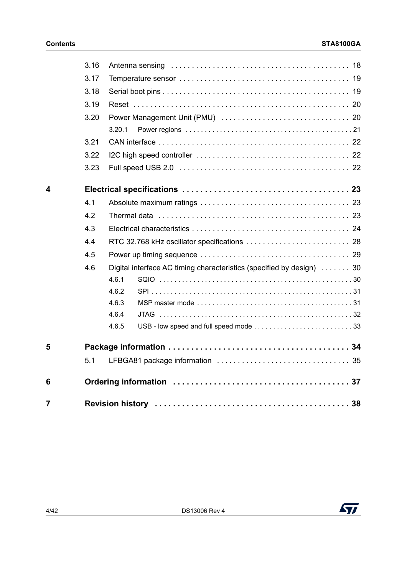|   | 3.16 |                                                                       |
|---|------|-----------------------------------------------------------------------|
|   | 3.17 |                                                                       |
|   | 3.18 |                                                                       |
|   | 3.19 |                                                                       |
|   | 3.20 |                                                                       |
|   |      | 3.20.1                                                                |
|   | 3.21 |                                                                       |
|   | 3.22 |                                                                       |
|   | 3.23 |                                                                       |
| 4 |      |                                                                       |
|   | 4.1  |                                                                       |
|   | 4.2  |                                                                       |
|   | 4.3  |                                                                       |
|   | 4.4  |                                                                       |
|   | 4.5  |                                                                       |
|   | 4.6  | Digital interface AC timing characteristics (specified by design)  30 |
|   |      | 4.6.1                                                                 |
|   |      | 4.6.2                                                                 |
|   |      | 4.6.3                                                                 |
|   |      | 4.6.4                                                                 |
|   |      | 4.6.5                                                                 |
| 5 |      |                                                                       |
|   | 5.1  |                                                                       |
| 6 |      |                                                                       |
| 7 |      |                                                                       |

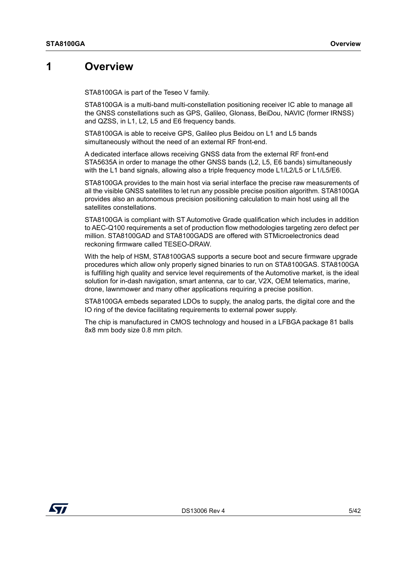## <span id="page-4-0"></span>**1 Overview**

<span id="page-4-1"></span>STA8100GA is part of the Teseo V family.

STA8100GA is a multi-band multi-constellation positioning receiver IC able to manage all the GNSS constellations such as GPS, Galileo, Glonass, BeiDou, NAVIC (former IRNSS) and QZSS, in L1, L2, L5 and E6 frequency bands.

STA8100GA is able to receive GPS, Galileo plus Beidou on L1 and L5 bands simultaneously without the need of an external RF front-end.

A dedicated interface allows receiving GNSS data from the external RF front-end STA5635A in order to manage the other GNSS bands (L2, L5, E6 bands) simultaneously with the L1 band signals, allowing also a triple frequency mode L1/L2/L5 or L1/L5/E6.

STA8100GA provides to the main host via serial interface the precise raw measurements of all the visible GNSS satellites to let run any possible precise position algorithm. STA8100GA provides also an autonomous precision positioning calculation to main host using all the satellites constellations.

STA8100GA is compliant with ST Automotive Grade qualification which includes in addition to AEC-Q100 requirements a set of production flow methodologies targeting zero defect per million. STA8100GAD and STA8100GADS are offered with STMicroelectronics dead reckoning firmware called TESEO-DRAW.

With the help of HSM, STA8100GAS supports a secure boot and secure firmware upgrade procedures which allow only properly signed binaries to run on STA8100GAS. STA8100GA is fulfilling high quality and service level requirements of the Automotive market, is the ideal solution for in-dash navigation, smart antenna, car to car, V2X, OEM telematics, marine, drone, lawnmower and many other applications requiring a precise position.

STA8100GA embeds separated LDOs to supply, the analog parts, the digital core and the IO ring of the device facilitating requirements to external power supply.

The chip is manufactured in CMOS technology and housed in a LFBGA package 81 balls 8x8 mm body size 0.8 mm pitch.

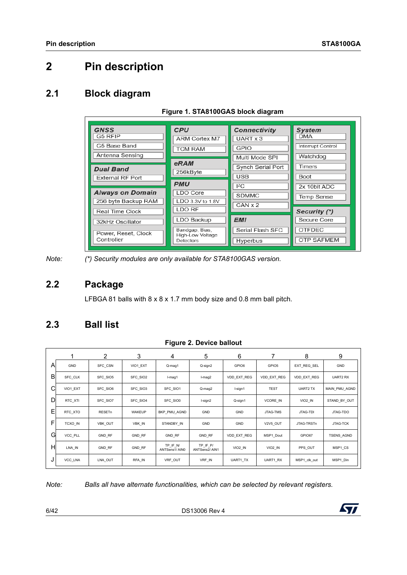## <span id="page-5-0"></span>**2 Pin description**

## <span id="page-5-1"></span>**2.1 Block diagram**

| <b>GNSS</b><br>G5 RFIP<br>G5 Base Band         | <b>CPU</b><br><b>ARM Cortex M7</b>              | <b>Connectivity</b><br>UART x 3<br>GPIO | <b>System</b><br><b>DMA</b><br>Interrupt Control |
|------------------------------------------------|-------------------------------------------------|-----------------------------------------|--------------------------------------------------|
| Antenna Sensing                                | <b>TCM RAM</b><br>eRAM                          | Multi Mode SPI<br>Synch Serial Port     | Watchdog<br><b>Timers</b>                        |
| <b>Dual Band</b><br><b>External RF Port</b>    | 256kByte<br><b>PMU</b>                          | <b>USB</b>                              | <b>Boot</b>                                      |
| <b>Always on Domain</b><br>256 byte Backup RAM | LDO Core<br>LDO 3.3V to 1.8V                    | ${}^{12}$ C<br><b>SDMMC</b><br>CAN x 2  | 2x 10bit ADC<br><b>Temp Sense</b>                |
| Real Time Clock<br>32kHz Oscillator            | LDO RF<br>LDO Backup                            | <b>EMI</b>                              | Security (*)<br>Secure Core                      |
| Power, Reset, Clock<br>Controller              | Bandgap, Bias,<br>High-Low Voltage<br>Detectors | Serial Flash SFC<br>Hyperbus            | <b>OTFDEC</b><br><b>OTP SAFMEM</b>               |

#### <span id="page-5-4"></span>**Figure 1. STA8100GAS block diagram**

*Note: (\*) Security modules are only available for STA8100GAS version.*

## <span id="page-5-2"></span>**2.2 Package**

LFBGA 81 balls with 8 x 8 x 1.7 mm body size and 0.8 mm ball pitch.

## <span id="page-5-3"></span>**2.3 Ball list**

#### <span id="page-5-5"></span>**Figure 2. Device ballout**

|   |          | $\overline{2}$ | 3        | 4                         | 5                         | 6           |                    | 8            | 9                 |
|---|----------|----------------|----------|---------------------------|---------------------------|-------------|--------------------|--------------|-------------------|
| A | GND      | SFC_CSN        | VIO1_EXT | Q-mag1                    | Q-sign2                   | GPIO6       | GPIO5              | EXT REG SEL  | GND               |
| B | SFC_CLK  | SFC_SIO5       | SFC_SIO2 | I-mag1                    | I-mag2                    | VDD EXT REG | <b>VDD EXT REG</b> | VDD EXT REG  | UART2 RX          |
| С | VIO1_EXT | SFC_SIO6       | SFC_SIO3 | SFC_SIO1                  | Q-mag2                    | I-sign1     | <b>TEST</b>        | UART2 TX     | MAIN PMU AGND     |
| D | RTC_XTI  | SFC_SIO7       | SFC_SIO4 | SFC_SIO0                  | I-sign2                   | Q-sign1     | VCORE IN           | VIO2_IN      | STAND BY OUT      |
| Ε | RTC_XTO  | RESETn         | WAKEUP   | BKP PMU AGND              | GND                       | GND         | JTAG-TMS           | JTAG-TDI     | JTAG-TDO          |
| F | TCXO_IN  | VBK_OUT        | VBK_IN   | STANDBY IN                | GND                       | GND         | V2V5_OUT           | JTAG-TRSTn   | JTAG-TCK          |
| G | VCC PLL  | <b>GND RF</b>  | GND RF   | <b>GND RF</b>             | GND RF                    | VDD EXT REG | MSP1 Dout          | GPIO67       | <b>TSENS AGND</b> |
| H | LNA_IN   | GND_RF         | GND_RF   | TP_IF_N/<br>ANTSens1/AIN0 | TP IF P/<br>ANTSens2/AIN1 | VIO2_IN     | VIO2_IN            | PPS_OUT      | MSP1_CS           |
| J | VCC_LNA  | LNA_OUT        | RFA_IN   | VRF_OUT                   | VRF_IN                    | UART1_TX    | UART1_RX           | MSP1_clk_out | MSP1_Din          |

*Note: Balls all have alternate functionalities, which can be selected by relevant registers.*

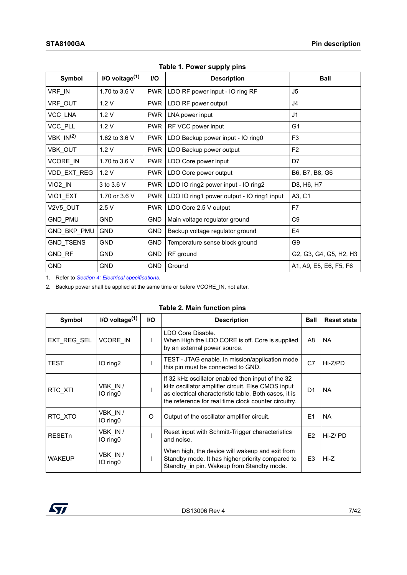| Symbol              | $I/O$ voltage $(1)$ | <b>I/O</b> | <b>Description</b>                         | <b>Ball</b>            |
|---------------------|---------------------|------------|--------------------------------------------|------------------------|
| VRF IN              | 1.70 to 3.6 V       | <b>PWR</b> | LDO RF power input - IO ring RF            | J5                     |
| VRF_OUT             | 1.2V                | <b>PWR</b> | LDO RF power output                        | J <sub>4</sub>         |
| VCC_LNA             | 1.2V                | <b>PWR</b> | LNA power input                            | J <sub>1</sub>         |
| VCC_PLL             | 1.2V                | <b>PWR</b> | RF VCC power input                         | G <sub>1</sub>         |
| $VBK_lN^{(2)}$      | 1.62 to 3.6 V       | <b>PWR</b> | LDO Backup power input - IO ring0          | F <sub>3</sub>         |
| VBK OUT             | 1.2V                | <b>PWR</b> | LDO Backup power output                    | F <sub>2</sub>         |
| <b>VCORE IN</b>     | 1.70 to 3.6 V       | <b>PWR</b> | LDO Core power input                       | D7                     |
| VDD_EXT_REG         | 1.2V                | <b>PWR</b> | LDO Core power output                      | B6, B7, B8, G6         |
| VIO <sub>2</sub> IN | 3 to 3.6 V          | <b>PWR</b> | LDO IO ring2 power input - IO ring2        | D8, H6, H7             |
| VIO1_EXT            | 1.70 or 3.6 V       | <b>PWR</b> | LDO IO ring1 power output - IO ring1 input | A3, C1                 |
| V2V5 OUT            | 2.5V                | <b>PWR</b> | LDO Core 2.5 V output                      | F7                     |
| <b>GND PMU</b>      | <b>GND</b>          | <b>GND</b> | Main voltage regulator ground              | C <sub>9</sub>         |
| GND_BKP_PMU         | <b>GND</b>          | <b>GND</b> | Backup voltage regulator ground            | E4                     |
| <b>GND TSENS</b>    | <b>GND</b>          | <b>GND</b> | Temperature sense block ground             | G9                     |
| GND_RF              | <b>GND</b>          | <b>GND</b> | RF ground                                  | G2, G3, G4, G5, H2, H3 |
| <b>GND</b>          | <b>GND</b>          | <b>GND</b> | Ground                                     | A1, A9, E5, E6, F5, F6 |

<span id="page-6-0"></span>**Table 1. Power supply pins**

1. Refer to *[Section 4: Electrical specifications](#page-22-0)*.

2. Backup power shall be applied at the same time or before VCORE\_IN, not after.

| Symbol                   | I/O voltage $(1)$   | <b>I/O</b> | <b>Description</b>                                                                                                                                                                                                      | <b>Ball</b>    | <b>Reset state</b> |
|--------------------------|---------------------|------------|-------------------------------------------------------------------------------------------------------------------------------------------------------------------------------------------------------------------------|----------------|--------------------|
| EXT REG SEL              | <b>VCORE IN</b>     |            | LDO Core Disable.<br>When High the LDO CORE is off. Core is supplied<br>by an external power source.                                                                                                                    | A8             | <b>NA</b>          |
| TEST                     | IO ring2            |            | TEST - JTAG enable. In mission/application mode<br>this pin must be connected to GND.                                                                                                                                   | C <sub>7</sub> | Hi-Z/PD            |
| RTC XTI                  | VBK IN/<br>IO ring0 |            | If 32 kHz oscillator enabled then input of the 32<br>kHz oscillator amplifier circuit. Else CMOS input<br>as electrical characteristic table. Both cases, it is<br>the reference for real time clock counter circuitry. | D <sub>1</sub> | <b>NA</b>          |
| RTC XTO                  | VBK IN/<br>IO ring0 | $\Omega$   | Output of the oscillator amplifier circuit.                                                                                                                                                                             | E1             | <b>NA</b>          |
| <b>RESET<sub>n</sub></b> | VBK IN/<br>IO ring0 |            | Reset input with Schmitt-Trigger characteristics<br>and noise.                                                                                                                                                          | F <sub>2</sub> | $Hi-Z/PD$          |
| <b>WAKEUP</b>            | VBK IN/<br>IO ring0 |            | When high, the device will wakeup and exit from<br>Standby mode. It has higher priority compared to<br>Standby in pin. Wakeup from Standby mode.                                                                        | E <sub>3</sub> | Hi-Z               |

#### <span id="page-6-1"></span>**Table 2. Main function pins**

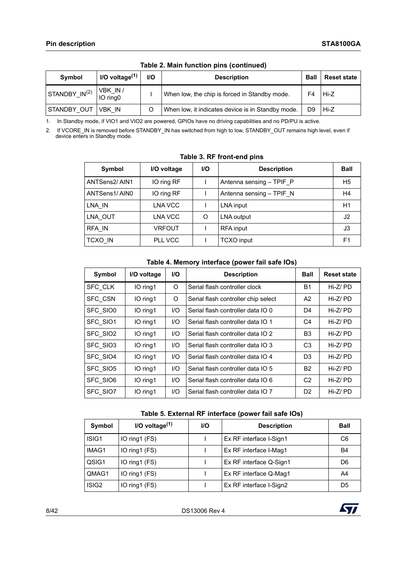| Symbol                    | I/O voltage $(1)$   | <b>I/O</b> | <b>Description</b>                                | Ball | <b>Reset state</b> |
|---------------------------|---------------------|------------|---------------------------------------------------|------|--------------------|
| STANDBY_IN <sup>(2)</sup> | VBK IN/<br>IO ring0 |            | When low, the chip is forced in Standby mode.     | F4   | Hi-Z               |
| STANDBY OUT               | <b>VBK IN</b>       |            | When low, it indicates device is in Standby mode. | D9   | Hi-Z               |

**Table 2. Main function pins (continued)**

1. In Standby mode, if VIO1 and VIO2 are powered, GPIOs have no driving capabilities and no PD/PU is active.

2. If VCORE\_IN is removed before STANDBY\_IN has switched from high to low, STANDBY\_OUT remains high level, even if device enters in Standby mode.

| Symbol         | I/O voltage   | <b>I/O</b> | <b>Description</b>       | <b>Ball</b>    |
|----------------|---------------|------------|--------------------------|----------------|
| ANTSens2/AIN1  | IO ring RF    |            | Antenna sensing - TPIF P | H <sub>5</sub> |
| ANTSens1/AIN0  | IO ring RF    |            | Antenna sensing - TPIF N | H4             |
| LNA IN         | LNA VCC       |            | LNA input                | H1             |
| LNA OUT        | LNA VCC       | O          | LNA output               | J2             |
| RFA IN         | <b>VRFOUT</b> |            | <b>RFA</b> input         | J3             |
| <b>TCXO IN</b> | PLL VCC       |            | <b>TCXO</b> input        | F <sub>1</sub> |

#### <span id="page-7-0"></span>**Table 3. RF front-end pins**

#### **Table 4. Memory interface (power fail safe IOs)**

| Symbol          | I/O voltage | <b>I/O</b> | <b>Description</b>                  | <b>Ball</b>    | <b>Reset state</b> |
|-----------------|-------------|------------|-------------------------------------|----------------|--------------------|
| <b>SFC CLK</b>  | IO ring1    | O          | Serial flash controller clock       | Β1             | $Hi-Z/PD$          |
| <b>SFC CSN</b>  | IO ring1    | O          | Serial flash controller chip select | A2             | $Hi-Z/PD$          |
| <b>SFC SIO0</b> | IO ring1    | I/O        | Serial flash controller data IO 0   | D4             | $Hi-Z/PD$          |
| <b>SFC SIO1</b> | IO ring1    | I/O        | Serial flash controller data IO 1   | C4             | $Hi-Z/PD$          |
| SFC SIO2        | IO ring1    | I/O        | Serial flash controller data IO 2   | B3             | $Hi-Z/PD$          |
| SFC SIO3        | IO ring1    | 1/O        | Serial flash controller data IO 3   | C <sub>3</sub> | Hi-Z/PD            |
| SFC SIO4        | IO ring1    | I/O        | Serial flash controller data IO 4   | D3             | $Hi-Z/PD$          |
| SFC SIO5        | IO ring1    | I/O        | Serial flash controller data IO 5   | <b>B2</b>      | $Hi-Z/PD$          |
| SFC SIO6        | IO ring1    | I/O        | Serial flash controller data IO 6   | C <sub>2</sub> | Hi-Z/PD            |
| <b>SFC SIO7</b> | IO ring1    | I/O        | Serial flash controller data IO 7   | D <sub>2</sub> | $Hi-Z/PD$          |

#### **Table 5. External RF interface (power fail safe IOs)**

| Symbol            | I/O voltage $(1)$ | <b>I/O</b> | <b>Description</b>      | <b>Ball</b>    |
|-------------------|-------------------|------------|-------------------------|----------------|
| ISIG1             | IO ring1 (FS)     |            | Ex RF interface I-Sign1 | C <sub>6</sub> |
| IMAG1             | IO ring1 (FS)     |            | Ex RF interface I-Mag1  | B4             |
| QSIG1             | IO ring1 (FS)     |            | Ex RF interface Q-Sign1 | D6             |
| QMAG1             | IO ring1 (FS)     |            | Ex RF interface Q-Mag1  | A4             |
| ISIG <sub>2</sub> | IO ring1 (FS)     |            | Ex RF interface I-Sign2 | D5             |

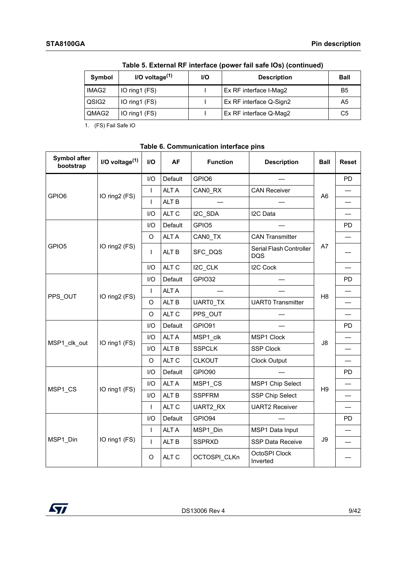| Symbol | I/O voltage $(1)$ | <b>I/O</b> | <b>Description</b>      | <b>Ball</b> |
|--------|-------------------|------------|-------------------------|-------------|
| IMAG2  | IO ring $(FS)$    |            | Ex RF interface I-Mag2  | B5          |
| QSIG2  | IO ring1 (FS)     |            | Ex RF interface Q-Sign2 | A5          |
| QMAG2  | IO ring $(FS)$    |            | Ex RF interface Q-Maq2  | C5          |

**Table 5. External RF interface (power fail safe IOs) (continued)**

1. (FS) Fail Safe IO

#### <span id="page-8-0"></span>**Table 6. Communication interface pins**

| Symbol after<br>bootstrap    | I/O voltage $(1)$ | $II$         | AF               | <b>Function</b>   | <b>Description</b>                    | Ball           | <b>Reset</b> |
|------------------------------|-------------------|--------------|------------------|-------------------|---------------------------------------|----------------|--------------|
|                              |                   | I/O          | Default          | GPIO6             |                                       |                | <b>PD</b>    |
| GPIO <sub>6</sub>            |                   | $\mathsf{I}$ | <b>ALTA</b>      | CANO_RX           | <b>CAN Receiver</b>                   | A <sub>6</sub> |              |
|                              | IO ring2 (FS)     | L            | ALT <sub>B</sub> |                   |                                       |                |              |
|                              |                   | I/O          | ALT C            | I2C_SDA           | I2C Data                              |                |              |
|                              |                   | I/O          | Default          | GPIO <sub>5</sub> |                                       |                | <b>PD</b>    |
| GPIO <sub>5</sub><br>PPS_OUT |                   | $\Omega$     | <b>ALTA</b>      | CANO_TX           | <b>CAN Transmitter</b>                |                |              |
|                              | IO ring2 (FS)     | L            | ALT B            | SFC DQS           | Serial Flash Controller<br><b>DQS</b> | A7             |              |
|                              |                   | I/O          | ALT C            | I2C_CLK           | <b>I2C Cock</b>                       |                |              |
|                              | IO ring2 (FS)     | I/O          | Default          | GPIO32            |                                       |                | <b>PD</b>    |
|                              |                   | $\mathbf{I}$ | <b>ALTA</b>      |                   |                                       | H <sub>8</sub> |              |
|                              |                   | O            | ALT B            | <b>UARTO TX</b>   | <b>UART0 Transmitter</b>              |                |              |
|                              |                   | $\circ$      | ALT C            | PPS OUT           |                                       |                |              |
|                              |                   | I/O          | Default          | GPIO91            |                                       |                | <b>PD</b>    |
|                              | IO ring1 (FS)     | I/O          | <b>ALTA</b>      | MSP1 clk          | MSP1 Clock                            |                |              |
|                              |                   | I/O          | ALT B            | <b>SSPCLK</b>     | <b>SSP Clock</b>                      | J8             |              |
| MSP1_clk_out<br>MSP1 CS      |                   | $\circ$      | ALT C            | <b>CLKOUT</b>     | <b>Clock Output</b>                   |                |              |
|                              |                   | I/O          | Default          | GPIO90            |                                       |                | <b>PD</b>    |
|                              | IO ring1 (FS)     | I/O          | <b>ALT A</b>     | MSP1_CS           | MSP1 Chip Select                      | H9             |              |
|                              |                   | I/O          | ALT B            | <b>SSPFRM</b>     | <b>SSP Chip Select</b>                |                |              |
|                              |                   | T            | ALT C            | UART2 RX          | <b>UART2 Receiver</b>                 |                |              |
|                              |                   | I/O          | Default          | GPIO94            |                                       |                | PD           |
|                              |                   | L            | <b>ALTA</b>      | MSP1 Din          | MSP1 Data Input                       |                |              |
| MSP1 Din                     | IO ring1 (FS)     | $\mathbf{I}$ | ALT B            | <b>SSPRXD</b>     | <b>SSP Data Receive</b>               | J9             |              |
|                              |                   | O            | ALT C            | OCTOSPI_CLKn      | OctoSPI Clock<br>Inverted             |                |              |

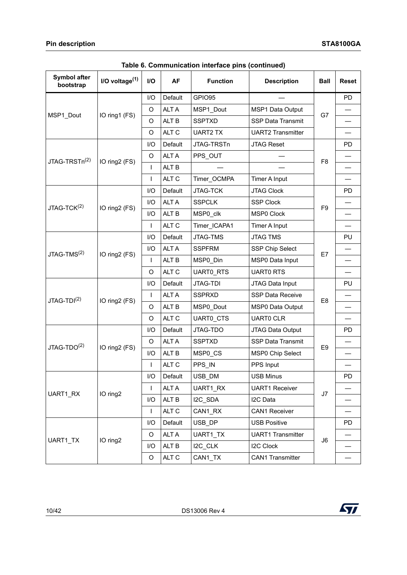| Symbol after<br>bootstrap | I/O voltage $(1)$ | I/O            | <b>AF</b>        | <b>Function</b>  | <b>Description</b>       | <b>Ball</b>    | <b>Reset</b>             |
|---------------------------|-------------------|----------------|------------------|------------------|--------------------------|----------------|--------------------------|
|                           |                   | I/O            | Default          | GPIO95           |                          |                | <b>PD</b>                |
| MSP1_Dout                 | IO ring1 (FS)     | O              | <b>ALTA</b>      | MSP1_Dout        | MSP1 Data Output         | G7             |                          |
|                           |                   | O              | ALT <sub>B</sub> | <b>SSPTXD</b>    | <b>SSP Data Transmit</b> |                |                          |
|                           |                   | O              | ALT <sub>C</sub> | <b>UART2 TX</b>  | <b>UART2 Transmitter</b> |                | $\overline{\phantom{0}}$ |
|                           |                   | I/O            | Default          | JTAG-TRSTn       | <b>JTAG Reset</b>        |                | <b>PD</b>                |
| JTAG-TRSTn <sup>(2)</sup> | IO ring2 (FS)     | O              | <b>ALTA</b>      | PPS OUT          |                          | F <sub>8</sub> |                          |
|                           |                   | $\overline{1}$ | ALT <sub>B</sub> |                  |                          |                |                          |
|                           |                   | T              | ALT <sub>C</sub> | Timer_OCMPA      | Timer A Input            |                | $\overline{\phantom{0}}$ |
|                           |                   | I/O            | Default          | JTAG-TCK         | <b>JTAG Clock</b>        |                | <b>PD</b>                |
| $JTAG-TCK(2)$             | IO ring2 (FS)     | I/O            | <b>ALTA</b>      | <b>SSPCLK</b>    | <b>SSP Clock</b>         | F <sub>9</sub> |                          |
|                           |                   | I/O            | ALT <sub>B</sub> | MSP0 clk         | <b>MSP0 Clock</b>        |                |                          |
|                           |                   | $\overline{1}$ | ALT <sub>C</sub> | Timer_ICAPA1     | Timer A Input            |                | $\overline{\phantom{0}}$ |
|                           | IO ring2 (FS)     | I/O            | Default          | <b>JTAG-TMS</b>  | <b>JTAG TMS</b>          |                | PU                       |
| JTAG-TMS <sup>(2)</sup>   |                   | I/O            | <b>ALTA</b>      | <b>SSPFRM</b>    | SSP Chip Select          |                |                          |
|                           |                   | T              | ALT <sub>B</sub> | MSP0_Din         | MSP0 Data Input          | E7             |                          |
|                           |                   | O              | ALT <sub>C</sub> | <b>UARTO RTS</b> | <b>UARTO RTS</b>         |                | $\overline{\phantom{0}}$ |
|                           |                   | I/O            | Default          | <b>JTAG-TDI</b>  | JTAG Data Input          |                | PU                       |
| JTAG-TDI <sup>(2)</sup>   | IO ring2 (FS)     | T              | <b>ALTA</b>      | <b>SSPRXD</b>    | SSP Data Receive         | E <sub>8</sub> |                          |
|                           |                   | O              | ALT B            | MSP0 Dout        | <b>MSP0 Data Output</b>  |                |                          |
|                           |                   | O              | ALT C            | UARTO_CTS        | <b>UARTO CLR</b>         |                | $\overline{\phantom{0}}$ |
|                           |                   | I/O            | Default          | JTAG-TDO         | JTAG Data Output         |                | <b>PD</b>                |
| JTAG-TDO <sup>(2)</sup>   |                   | O              | <b>ALTA</b>      | <b>SSPTXD</b>    | <b>SSP Data Transmit</b> | E <sub>9</sub> |                          |
|                           | IO ring2 (FS)     | I/O            | ALT <sub>B</sub> | MSP0_CS          | MSP0 Chip Select         |                |                          |
|                           |                   | $\overline{1}$ | ALT <sub>C</sub> | PPS_IN           | PPS Input                |                |                          |
|                           |                   | I/O            | Default          | USB_DM           | <b>USB Minus</b>         |                | PD                       |
|                           |                   | L              | <b>ALTA</b>      | UART1_RX         | <b>UART1 Receiver</b>    |                |                          |
| UART1_RX                  | IO ring2          | I/O            | ALT B            | I2C_SDA          | I2C Data                 | J7             |                          |
|                           |                   | L              | ALT <sub>C</sub> | CAN1_RX          | CAN1 Receiver            |                |                          |
|                           |                   | I/O            | Default          | USB_DP           | <b>USB Positive</b>      |                | <b>PD</b>                |
|                           |                   | $\circ$        | ALT A            | UART1_TX         | <b>UART1 Transmitter</b> |                |                          |
| UART1 TX                  | IO ring2          | I/O            | ALT B            | I2C_CLK          | <b>I2C Clock</b>         | J6             |                          |
|                           |                   | $\circ$        | ALT C            | CAN1_TX          | <b>CAN1 Transmitter</b>  |                |                          |

**Table 6. Communication interface pins (continued)**

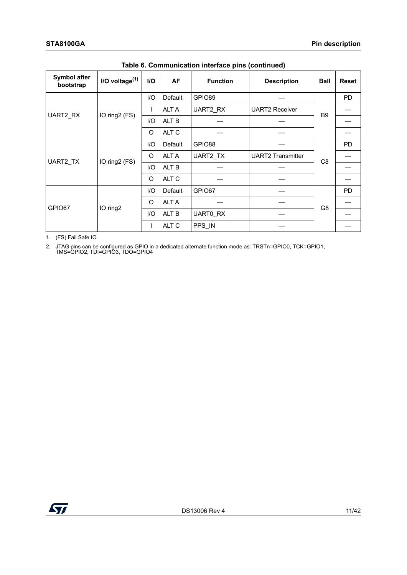| Symbol after<br>bootstrap | $I/O$ voltage $(1)$ | <b>I/O</b> | <b>AF</b>        | <b>Function</b> | <b>Description</b>       | <b>Ball</b>    | <b>Reset</b> |
|---------------------------|---------------------|------------|------------------|-----------------|--------------------------|----------------|--------------|
|                           |                     | I/O        | Default          | GPIO89          |                          |                | <b>PD</b>    |
| UART2_RX                  | IO ring2 (FS)       |            | <b>ALT A</b>     | UART2 RX        | <b>UART2 Receiver</b>    | B <sub>9</sub> |              |
|                           |                     | I/O        | ALT <sub>B</sub> |                 |                          |                |              |
|                           |                     | O          | ALT C            |                 |                          |                |              |
|                           | IO ring2 (FS)       | I/O        | Default          | GPIO88          |                          |                | <b>PD</b>    |
| UART2 TX                  |                     | O          | <b>ALT A</b>     | UART2 TX        | <b>UART2 Transmitter</b> | C8             |              |
|                           |                     | I/O        | ALT B            |                 |                          |                |              |
|                           |                     | O          | ALT C            |                 |                          |                |              |
|                           |                     | 1/O        | Default          | GPIO67          |                          |                | <b>PD</b>    |
| GPIO67                    | IO ring2            | O          | <b>ALT A</b>     |                 |                          | G <sub>8</sub> |              |
|                           |                     | I/O        | ALT B            | UART0 RX        |                          |                |              |
|                           |                     |            | ALT C            | PPS_IN          |                          |                |              |

**Table 6. Communication interface pins (continued)**

1. (FS) Fail Safe IO

<span id="page-10-0"></span>2. JTAG pins can be configured as GPIO in a dedicated alternate function mode as: TRSTn=GPIO0, TCK=GPIO1, TMS=GPIO2, TDI=GPIO3, TDO=GPIO4

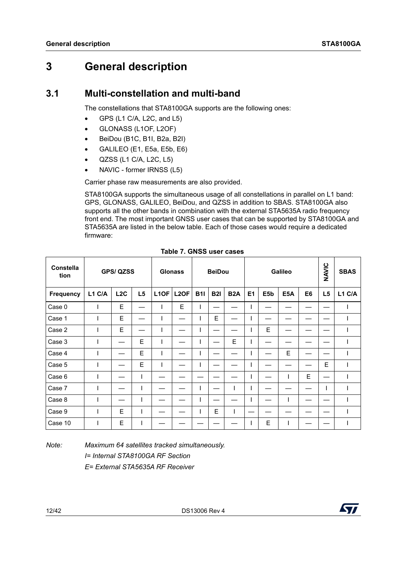## <span id="page-11-0"></span>**3 General description**

## <span id="page-11-1"></span>**3.1 Multi-constellation and multi-band**

The constellations that STA8100GA supports are the following ones:

- GPS (L1 C/A, L2C, and L5)
- GLONASS (L1OF, L2OF)
- BeiDou (B1C, B1I, B2a, B2I)
- GALILEO (E1, E5a, E5b, E6)
- QZSS (L1 C/A, L2C, L5)
- NAVIC former IRNSS (L5)

Carrier phase raw measurements are also provided.

STA8100GA supports the simultaneous usage of all constellations in parallel on L1 band: GPS, GLONASS, GALILEO, BeiDou, and QZSS in addition to SBAS. STA8100GA also supports all the other bands in combination with the external STA5635A radio frequency front end. The most important GNSS user cases that can be supported by STA8100GA and STA5635A are listed in the below table. Each of those cases would require a dedicated firmware:

| <b>Constella</b><br>tion |        | <b>GPS/ QZSS</b> |    |                   | <b>Glonass</b>    |            | <b>BeiDou</b> |                  |                |     | Galileo          |    | NAVIC          | <b>SBAS</b> |
|--------------------------|--------|------------------|----|-------------------|-------------------|------------|---------------|------------------|----------------|-----|------------------|----|----------------|-------------|
| <b>Frequency</b>         | L1 C/A | L2C              | L5 | L <sub>1</sub> OF | L <sub>2</sub> OF | <b>B1I</b> | <b>B2I</b>    | B <sub>2</sub> A | E <sub>1</sub> | E5b | E <sub>5</sub> A | E6 | L <sub>5</sub> | L1 C/A      |
| Case 0                   | L      | Е                |    | ı                 | E                 | I.         |               |                  |                |     |                  |    |                |             |
| Case 1                   |        | E                |    |                   |                   |            | E             |                  |                |     |                  |    |                |             |
| Case 2                   |        | E                |    |                   |                   |            |               |                  |                | Е   |                  |    |                |             |
| Case 3                   |        |                  | E  | ı                 |                   |            |               | E                |                |     |                  |    |                |             |
| Case 4                   |        |                  | E  |                   |                   |            |               |                  |                |     | E                |    |                |             |
| Case 5                   |        |                  | E  | ı                 |                   |            |               |                  |                |     |                  |    | E              |             |
| Case 6                   |        |                  |    |                   |                   |            |               |                  |                |     | ı                | E  |                |             |
| Case 7                   |        |                  |    |                   |                   |            |               |                  |                |     |                  |    |                |             |
| Case 8                   |        |                  |    |                   |                   |            |               |                  |                |     | ш                |    |                |             |
| Case 9                   | ш      | E                |    |                   |                   | I          | E             |                  |                |     |                  |    |                |             |
| Case 10                  |        | E                |    |                   |                   |            |               |                  |                | Е   |                  |    |                |             |

<span id="page-11-2"></span>

|  | Table 7. GNSS user cases |  |
|--|--------------------------|--|
|  |                          |  |

*Note: Maximum 64 satellites tracked simultaneously. I= Internal STA8100GA RF Section E= External STA5635A RF Receiver*

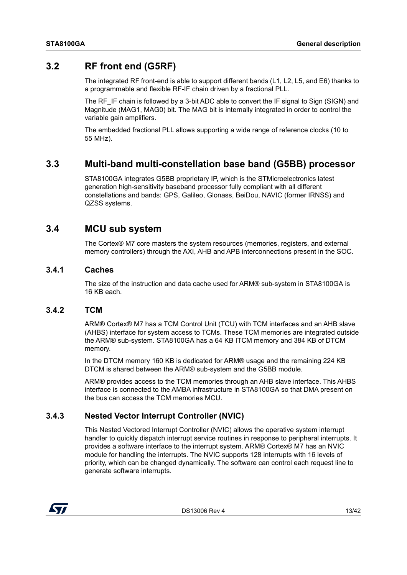## <span id="page-12-0"></span>**3.2 RF front end (G5RF)**

<span id="page-12-6"></span>The integrated RF front-end is able to support different bands (L1, L2, L5, and E6) thanks to a programmable and flexible RF-IF chain driven by a fractional PLL.

The RF IF chain is followed by a 3-bit ADC able to convert the IF signal to Sign (SIGN) and Magnitude (MAG1, MAG0) bit. The MAG bit is internally integrated in order to control the variable gain amplifiers.

The embedded fractional PLL allows supporting a wide range of reference clocks (10 to 55 MHz).

## <span id="page-12-1"></span>**3.3 Multi-band multi-constellation base band (G5BB) processor**

STA8100GA integrates G5BB proprietary IP, which is the STMicroelectronics latest generation high-sensitivity baseband processor fully compliant with all different constellations and bands: GPS, Galileo, Glonass, BeiDou, NAVIC (former IRNSS) and QZSS systems.

## <span id="page-12-2"></span>**3.4 MCU sub system**

The Cortex® M7 core masters the system resources (memories, registers, and external memory controllers) through the AXI, AHB and APB interconnections present in the SOC.

#### <span id="page-12-3"></span>**3.4.1 Caches**

The size of the instruction and data cache used for ARM® sub-system in STA8100GA is 16 KB each.

#### <span id="page-12-4"></span>**3.4.2 TCM**

ARM® Cortex® M7 has a TCM Control Unit (TCU) with TCM interfaces and an AHB slave (AHBS) interface for system access to TCMs. These TCM memories are integrated outside the ARM® sub-system. STA8100GA has a 64 KB ITCM memory and 384 KB of DTCM memory.

In the DTCM memory 160 KB is dedicated for ARM® usage and the remaining 224 KB DTCM is shared between the ARM® sub-system and the G5BB module.

ARM® provides access to the TCM memories through an AHB slave interface. This AHBS interface is connected to the AMBA infrastructure in STA8100GA so that DMA present on the bus can access the TCM memories MCU.

#### <span id="page-12-5"></span>**3.4.3 Nested Vector Interrupt Controller (NVIC)**

This Nested Vectored Interrupt Controller (NVIC) allows the operative system interrupt handler to quickly dispatch interrupt service routines in response to peripheral interrupts. It provides a software interface to the interrupt system. ARM® Cortex® M7 has an NVIC module for handling the interrupts. The NVIC supports 128 interrupts with 16 levels of priority, which can be changed dynamically. The software can control each request line to generate software interrupts.

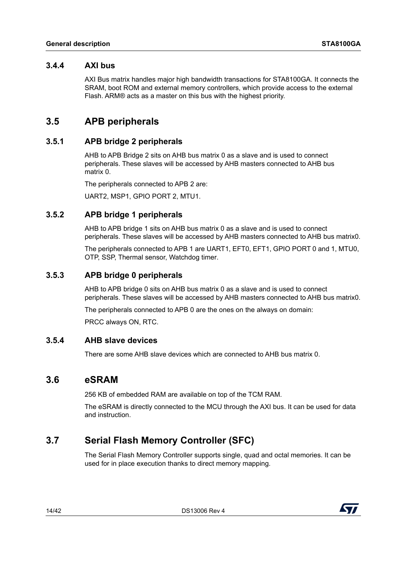#### <span id="page-13-0"></span>**3.4.4 AXI bus**

AXI Bus matrix handles major high bandwidth transactions for STA8100GA. It connects the SRAM, boot ROM and external memory controllers, which provide access to the external Flash. ARM® acts as a master on this bus with the highest priority.

## <span id="page-13-1"></span>**3.5 APB peripherals**

#### <span id="page-13-2"></span>**3.5.1 APB bridge 2 peripherals**

AHB to APB Bridge 2 sits on AHB bus matrix 0 as a slave and is used to connect peripherals. These slaves will be accessed by AHB masters connected to AHB bus matrix 0.

The peripherals connected to APB 2 are:

<span id="page-13-8"></span>UART2, MSP1, GPIO PORT 2, MTU1.

#### <span id="page-13-3"></span>**3.5.2 APB bridge 1 peripherals**

AHB to APB bridge 1 sits on AHB bus matrix 0 as a slave and is used to connect peripherals. These slaves will be accessed by AHB masters connected to AHB bus matrix0.

The peripherals connected to APB 1 are UART1, EFT0, EFT1, GPIO PORT 0 and 1, MTU0, OTP, SSP, Thermal sensor, Watchdog timer.

#### <span id="page-13-4"></span>**3.5.3 APB bridge 0 peripherals**

AHB to APB bridge 0 sits on AHB bus matrix 0 as a slave and is used to connect peripherals. These slaves will be accessed by AHB masters connected to AHB bus matrix0.

The peripherals connected to APB 0 are the ones on the always on domain:

PRCC always ON, RTC.

#### <span id="page-13-5"></span>**3.5.4 AHB slave devices**

There are some AHB slave devices which are connected to AHB bus matrix 0.

#### <span id="page-13-6"></span>**3.6 eSRAM**

256 KB of embedded RAM are available on top of the TCM RAM.

The eSRAM is directly connected to the MCU through the AXI bus. It can be used for data and instruction.

## <span id="page-13-7"></span>**3.7 Serial Flash Memory Controller (SFC)**

The Serial Flash Memory Controller supports single, quad and octal memories. It can be used for in place execution thanks to direct memory mapping.

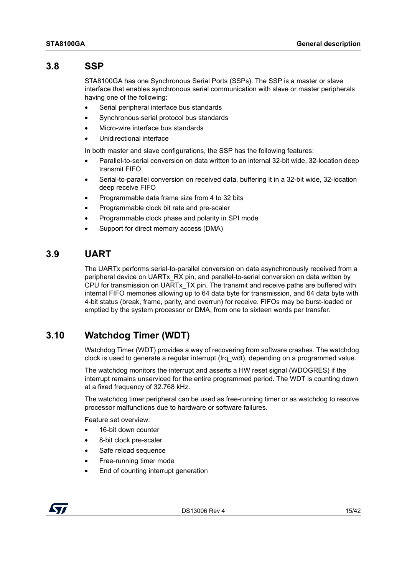## <span id="page-14-0"></span>**3.8 SSP**

STA8100GA has one Synchronous Serial Ports (SSPs). The SSP is a master or slave interface that enables synchronous serial communication with slave or master peripherals having one of the following:

- Serial peripheral interface bus standards
- Synchronous serial protocol bus standards
- Micro-wire interface bus standards
- Unidirectional interface

In both master and slave configurations, the SSP has the following features:

- Parallel-to-serial conversion on data written to an internal 32-bit wide, 32-location deep transmit FIFO
- Serial-to-parallel conversion on received data, buffering it in a 32-bit wide, 32-location deep receive FIFO
- Programmable data frame size from 4 to 32 bits
- Programmable clock bit rate and pre-scaler
- Programmable clock phase and polarity in SPI mode
- Support for direct memory access (DMA)

## <span id="page-14-1"></span>**3.9 UART**

The UARTx performs serial-to-parallel conversion on data asynchronously received from a peripheral device on UARTx\_RX pin, and parallel-to-serial conversion on data written by CPU for transmission on UARTx\_TX pin. The transmit and receive paths are buffered with internal FIFO memories allowing up to 64 data byte for transmission, and 64 data byte with 4-bit status (break, frame, parity, and overrun) for receive. FIFOs may be burst-loaded or emptied by the system processor or DMA, from one to sixteen words per transfer.

## <span id="page-14-2"></span>**3.10 Watchdog Timer (WDT)**

<span id="page-14-3"></span>Watchdog Timer (WDT) provides a way of recovering from software crashes. The watchdog clock is used to generate a regular interrupt (Irq\_wdt), depending on a programmed value.

The watchdog monitors the interrupt and asserts a HW reset signal (WDOGRES) if the interrupt remains unserviced for the entire programmed period. The WDT is counting down at a fixed frequency of 32.768 kHz.

The watchdog timer peripheral can be used as free-running timer or as watchdog to resolve processor malfunctions due to hardware or software failures.

Feature set overview:

- 16-bit down counter
- 8-bit clock pre-scaler
- Safe reload sequence
- Free-running timer mode
- End of counting interrupt generation

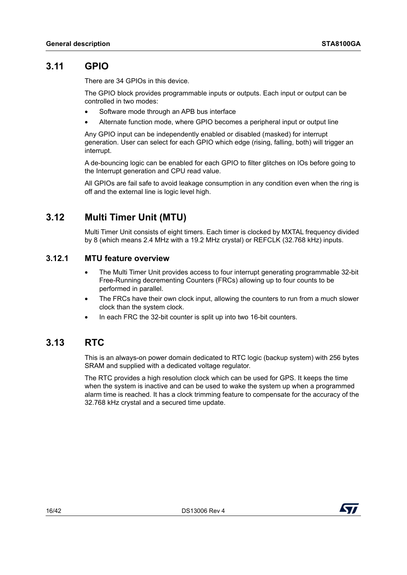## <span id="page-15-0"></span>**3.11 GPIO**

There are 34 GPIOs in this device.

The GPIO block provides programmable inputs or outputs. Each input or output can be controlled in two modes:

- Software mode through an APB bus interface
- Alternate function mode, where GPIO becomes a peripheral input or output line

Any GPIO input can be independently enabled or disabled (masked) for interrupt generation. User can select for each GPIO which edge (rising, falling, both) will trigger an interrupt.

A de-bouncing logic can be enabled for each GPIO to filter glitches on IOs before going to the Interrupt generation and CPU read value.

All GPIOs are fail safe to avoid leakage consumption in any condition even when the ring is off and the external line is logic level high.

## <span id="page-15-1"></span>**3.12 Multi Timer Unit (MTU)**

Multi Timer Unit consists of eight timers. Each timer is clocked by MXTAL frequency divided by 8 (which means 2.4 MHz with a 19.2 MHz crystal) or REFCLK (32.768 kHz) inputs.

#### <span id="page-15-2"></span>**3.12.1 MTU feature overview**

- The Multi Timer Unit provides access to four interrupt generating programmable 32-bit Free-Running decrementing Counters (FRCs) allowing up to four counts to be performed in parallel.
- The FRCs have their own clock input, allowing the counters to run from a much slower clock than the system clock.
- In each FRC the 32-bit counter is split up into two 16-bit counters.

## <span id="page-15-3"></span>**3.13 RTC**

This is an always-on power domain dedicated to RTC logic (backup system) with 256 bytes SRAM and supplied with a dedicated voltage regulator.

The RTC provides a high resolution clock which can be used for GPS. It keeps the time when the system is inactive and can be used to wake the system up when a programmed alarm time is reached. It has a clock trimming feature to compensate for the accuracy of the 32.768 kHz crystal and a secured time update.

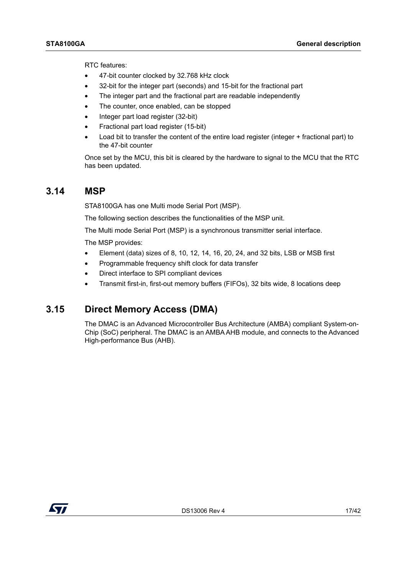RTC features:

- 47-bit counter clocked by 32.768 kHz clock
- 32-bit for the integer part (seconds) and 15-bit for the fractional part
- The integer part and the fractional part are readable independently
- The counter, once enabled, can be stopped
- Integer part load register (32-bit)
- Fractional part load register (15-bit)
- Load bit to transfer the content of the entire load register (integer + fractional part) to the 47-bit counter

Once set by the MCU, this bit is cleared by the hardware to signal to the MCU that the RTC has been updated.

#### <span id="page-16-0"></span>**3.14 MSP**

STA8100GA has one Multi mode Serial Port (MSP).

The following section describes the functionalities of the MSP unit.

The Multi mode Serial Port (MSP) is a synchronous transmitter serial interface.

The MSP provides:

- Element (data) sizes of 8, 10, 12, 14, 16, 20, 24, and 32 bits, LSB or MSB first
- Programmable frequency shift clock for data transfer
- Direct interface to SPI compliant devices
- Transmit first-in, first-out memory buffers (FIFOs), 32 bits wide, 8 locations deep

#### <span id="page-16-1"></span>**3.15 Direct Memory Access (DMA)**

The DMAC is an Advanced Microcontroller Bus Architecture (AMBA) compliant System-on-Chip (SoC) peripheral. The DMAC is an AMBA AHB module, and connects to the Advanced High-performance Bus (AHB).

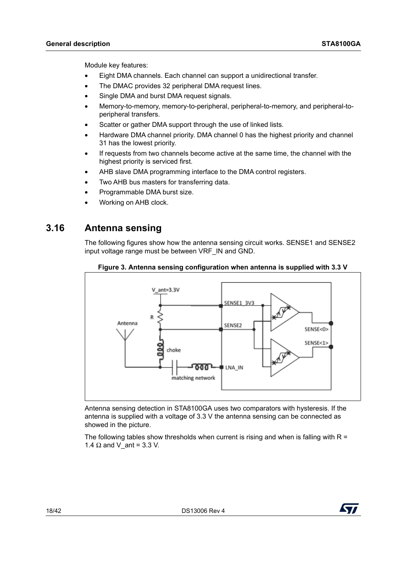Module key features:

- Eight DMA channels. Each channel can support a unidirectional transfer.
- The DMAC provides 32 peripheral DMA request lines.
- Single DMA and burst DMA request signals.
- Memory-to-memory, memory-to-peripheral, peripheral-to-memory, and peripheral-toperipheral transfers.
- Scatter or gather DMA support through the use of linked lists.
- Hardware DMA channel priority. DMA channel 0 has the highest priority and channel 31 has the lowest priority.
- If requests from two channels become active at the same time, the channel with the highest priority is serviced first.
- AHB slave DMA programming interface to the DMA control registers.
- Two AHB bus masters for transferring data.
- Programmable DMA burst size.
- <span id="page-17-1"></span>• Working on AHB clock.

## <span id="page-17-0"></span>**3.16 Antenna sensing**

The following figures show how the antenna sensing circuit works. SENSE1 and SENSE2 input voltage range must be between VRF\_IN and GND.



#### **Figure 3. Antenna sensing configuration when antenna is supplied with 3.3 V**

Antenna sensing detection in STA8100GA uses two comparators with hysteresis. If the antenna is supplied with a voltage of 3.3 V the antenna sensing can be connected as showed in the picture.

The following tables show thresholds when current is rising and when is falling with  $R =$ 1.4  $\Omega$  and V ant = 3.3 V.

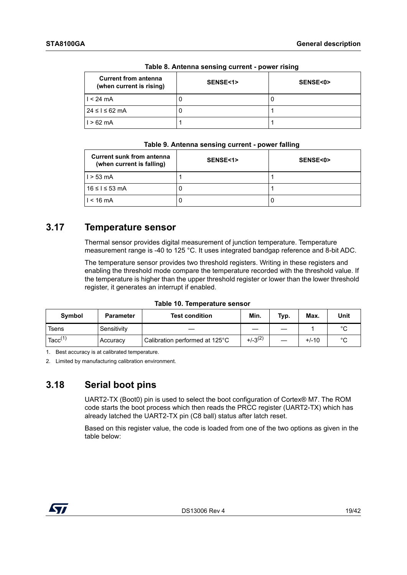| <b>Current from antenna</b><br>(when current is rising) | SENSE<1> | SENSE<0> |
|---------------------------------------------------------|----------|----------|
| $1 < 24$ mA                                             |          |          |
| $24 \leq i \leq 62$ mA                                  |          |          |
| $1 > 62$ mA                                             |          |          |

**Table 8. Antenna sensing current - power rising**

#### **Table 9. Antenna sensing current - power falling**

| <b>Current sunk from antenna</b><br>(when current is falling) | SENSE<1> | SENSE<0> |
|---------------------------------------------------------------|----------|----------|
| $1 > 53$ mA                                                   |          |          |
| 16 ≤ I ≤ 53 mA                                                | U        |          |
| $< 16 \text{ mA}$                                             | U        | U        |

## <span id="page-18-0"></span>**3.17 Temperature sensor**

Thermal sensor provides digital measurement of junction temperature. Temperature measurement range is -40 to 125 °C. It uses integrated bandgap reference and 8-bit ADC.

The temperature sensor provides two threshold registers. Writing in these registers and enabling the threshold mode compare the temperature recorded with the threshold value. If the temperature is higher than the upper threshold register or lower than the lower threshold register, it generates an interrupt if enabled.

<span id="page-18-2"></span>

| <b>Symbol</b>       | <b>Parameter</b> | <b>Test condition</b>          | Min.         | Typ. | Max.    | Unit   |
|---------------------|------------------|--------------------------------|--------------|------|---------|--------|
| Tsens               | Sensitivity      |                                |              |      |         | $\sim$ |
| Tacc <sup>(1)</sup> | Accuracy         | Calibration performed at 125°C | $+/-3^{(2)}$ |      | $+/-10$ | $\sim$ |

1. Best accuracy is at calibrated temperature.

2. Limited by manufacturing calibration environment.

## <span id="page-18-1"></span>**3.18 Serial boot pins**

UART2-TX (Boot0) pin is used to select the boot configuration of Cortex® M7. The ROM code starts the boot process which then reads the PRCC register (UART2-TX) which has already latched the UART2-TX pin (C8 ball) status after latch reset.

Based on this register value, the code is loaded from one of the two options as given in the table below:

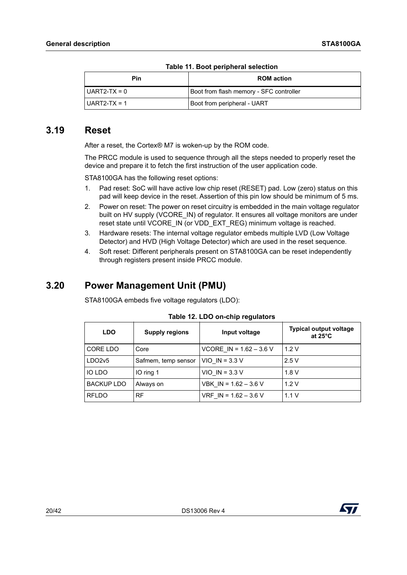| Pin            | <b>ROM</b> action                       |  |  |  |
|----------------|-----------------------------------------|--|--|--|
| l UART2-TX = 0 | Boot from flash memory - SFC controller |  |  |  |
| $UART2-TX = 1$ | Boot from peripheral - UART             |  |  |  |

#### <span id="page-19-0"></span>**3.19 Reset**

<span id="page-19-3"></span>After a reset, the Cortex® M7 is woken-up by the ROM code.

The PRCC module is used to sequence through all the steps needed to properly reset the device and prepare it to fetch the first instruction of the user application code.

STA8100GA has the following reset options:

- 1. Pad reset: SoC will have active low chip reset (RESET) pad. Low (zero) status on this pad will keep device in the reset. Assertion of this pin low should be minimum of 5 ms.
- 2. Power on reset: The power on reset circuitry is embedded in the main voltage regulator built on HV supply (VCORE IN) of regulator. It ensures all voltage monitors are under reset state until VCORE\_IN (or VDD\_EXT\_REG) minimum voltage is reached.
- 3. Hardware resets: The internal voltage regulator embeds multiple LVD (Low Voltage Detector) and HVD (High Voltage Detector) which are used in the reset sequence.
- 4. Soft reset: Different peripherals present on STA8100GA can be reset independently through registers present inside PRCC module.

## <span id="page-19-1"></span>**3.20 Power Management Unit (PMU)**

STA8100GA embeds five voltage regulators (LDO):

| <b>LDO</b>        | <b>Supply regions</b> | Input voltage             | <b>Typical output voltage</b><br>at $25^{\circ}$ C |
|-------------------|-----------------------|---------------------------|----------------------------------------------------|
| CORE LDO          | Core                  | VCORE IN = $1.62 - 3.6$ V | 1.2V                                               |
| LDO2v5            | Safmem, temp sensor   | $VIO$ IN = 3.3 V          | 2.5V                                               |
| IO LDO            | IO ring 1             | $VIO$ IN = 3.3 V          | 1.8V                                               |
| <b>BACKUP LDO</b> | Always on             | VBK $IN = 1.62 - 3.6 V$   | 1.2V                                               |
| <b>RFLDO</b>      | <b>RF</b>             | VRF IN = $1.62 - 3.6$ V   | 1.1V                                               |

<span id="page-19-2"></span>**Table 12. LDO on-chip regulators**

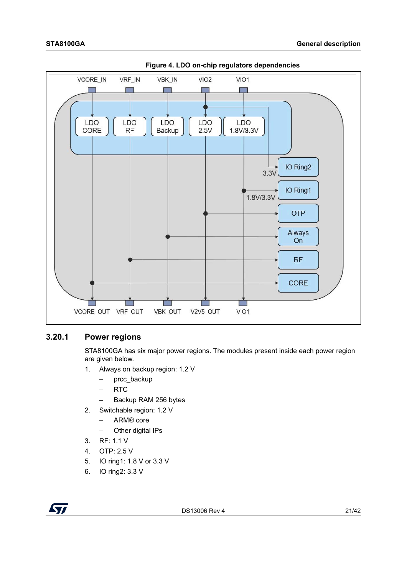

<span id="page-20-1"></span>

#### <span id="page-20-0"></span>**3.20.1 Power regions**

STA8100GA has six major power regions. The modules present inside each power region are given below.

- 1. Always on backup region: 1.2 V
	- prcc\_backup
	- RTC
	- Backup RAM 256 bytes
- 2. Switchable region: 1.2 V
	- ARM® core
	- Other digital IPs
- 3. RF: 1.1 V
- 4. OTP: 2.5 V
- 5. IO ring1: 1.8 V or 3.3 V
- 6. IO ring2: 3.3 V

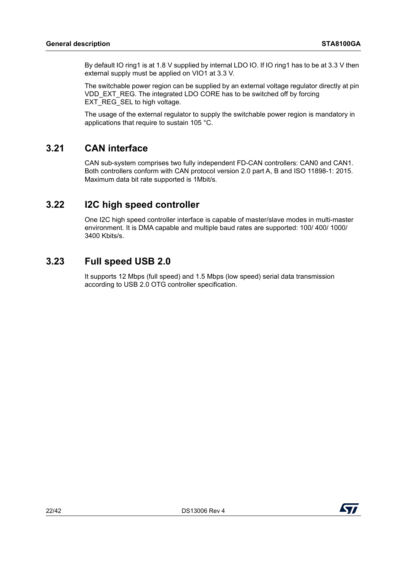By default IO ring1 is at 1.8 V supplied by internal LDO IO. If IO ring1 has to be at 3.3 V then external supply must be applied on VIO1 at 3.3 V.

The switchable power region can be supplied by an external voltage regulator directly at pin VDD\_EXT\_REG. The integrated LDO CORE has to be switched off by forcing EXT\_REG\_SEL to high voltage.

The usage of the external regulator to supply the switchable power region is mandatory in applications that require to sustain 105 °C.

## <span id="page-21-0"></span>**3.21 CAN interface**

CAN sub-system comprises two fully independent FD-CAN controllers: CAN0 and CAN1. Both controllers conform with CAN protocol version 2.0 part A, B and ISO 11898-1: 2015. Maximum data bit rate supported is 1Mbit/s.

## <span id="page-21-1"></span>**3.22 I2C high speed controller**

One I2C high speed controller interface is capable of master/slave modes in multi-master environment. It is DMA capable and multiple baud rates are supported: 100/ 400/ 1000/ 3400 Kbits/s.

## <span id="page-21-2"></span>**3.23 Full speed USB 2.0**

It supports 12 Mbps (full speed) and 1.5 Mbps (low speed) serial data transmission according to USB 2.0 OTG controller specification.

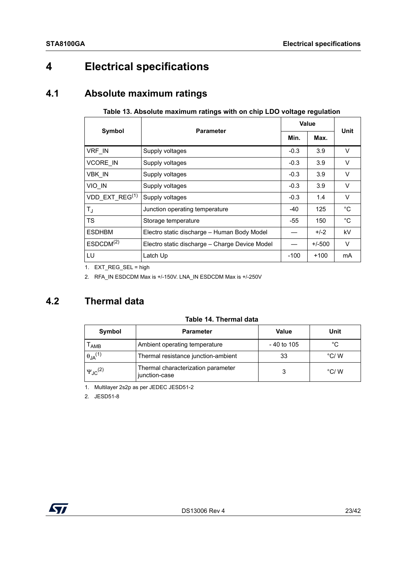## <span id="page-22-0"></span>**4 Electrical specifications**

## <span id="page-22-1"></span>**4.1 Absolute maximum ratings**

|                       | <b>Parameter</b>                               | Value  | Unit     |             |
|-----------------------|------------------------------------------------|--------|----------|-------------|
| Symbol                |                                                | Min.   | Max.     |             |
| VRF IN                | Supply voltages                                | $-0.3$ | 3.9      | $\vee$      |
| <b>VCORE IN</b>       | Supply voltages                                | $-0.3$ | 3.9      | V           |
| VBK IN                | Supply voltages                                | $-0.3$ | 3.9      | V           |
| VIO IN                | Supply voltages                                | $-0.3$ | 3.9      | V           |
| VDD EXT REG $(1)$     | Supply voltages                                | $-0.3$ | 1.4      | V           |
| $T_{\rm J}$           | Junction operating temperature                 | $-40$  | 125      | $^{\circ}C$ |
| <b>TS</b>             | Storage temperature                            | -55    | 150      | $^{\circ}C$ |
| <b>ESDHBM</b>         | Electro static discharge - Human Body Model    |        | $+/-2$   | kV          |
| ESDCDM <sup>(2)</sup> | Electro static discharge - Charge Device Model |        | $+/-500$ | V           |
| LU                    | Latch Up                                       | $-100$ | $+100$   | mA          |

#### <span id="page-22-3"></span>**Table 13. Absolute maximum ratings with on chip LDO voltage regulation**

1. EXT\_REG\_SEL = high

2. RFA\_IN ESDCDM Max is +/-150V. LNA\_IN ESDCDM Max is +/-250V

## <span id="page-22-2"></span>**4.2 Thermal data**

<span id="page-22-4"></span>

|  | Table 14. Thermal data |  |
|--|------------------------|--|
|  |                        |  |

| Symbol                       | <b>Parameter</b>                                    | <b>Value</b> | Unit          |
|------------------------------|-----------------------------------------------------|--------------|---------------|
| AMB                          | Ambient operating temperature                       | - 40 to 105  | °C            |
| $\theta_{JA}$ <sup>(1)</sup> | Thermal resistance junction-ambient                 | 33           | $\degree$ C/W |
| $\Psi_{JC}^{(2)}$            | Thermal characterization parameter<br>junction-case |              | $\degree$ C/W |

1. Multilayer 2s2p as per JEDEC JESD51-2

2. JESD51-8

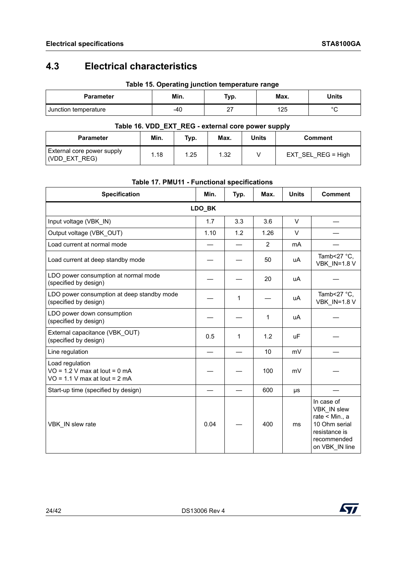## <span id="page-23-0"></span>**4.3 Electrical characteristics**

|                      | . .  |      | . .  |        |
|----------------------|------|------|------|--------|
| <b>Parameter</b>     | Min. | Typ. | Max. | Units  |
| Junction temperature | -40  | . .  | 125  | $\sim$ |

#### **Table 15. Operating junction temperature range**

#### <span id="page-23-1"></span>**Table 16. VDD\_EXT\_REG - external core power supply**

| <b>Parameter</b>                            | Min. | Typ. | Max. | Units | <b>Comment</b>       |
|---------------------------------------------|------|------|------|-------|----------------------|
| External core power supply<br>(VDD EXT REG) | 1.18 | 1.25 | 1.32 |       | $EXT$ SEL REG = High |

| <b>Specification</b>                                                                  | Min.   | Typ. | Max. | <b>Units</b> | <b>Comment</b>                                                                                                 |
|---------------------------------------------------------------------------------------|--------|------|------|--------------|----------------------------------------------------------------------------------------------------------------|
|                                                                                       | LDO_BK |      |      |              |                                                                                                                |
| Input voltage (VBK IN)                                                                | 1.7    | 3.3  | 3.6  | $\vee$       |                                                                                                                |
| Output voltage (VBK OUT)                                                              | 1.10   | 1.2  | 1.26 | $\vee$       |                                                                                                                |
| Load current at normal mode                                                           |        |      | 2    | mA           |                                                                                                                |
| Load current at deep standby mode                                                     |        |      | 50   | uA           | Tamb<27 °C,<br><b>VBK IN=1.8 V</b>                                                                             |
| LDO power consumption at normal mode<br>(specified by design)                         |        |      | 20   | uA           |                                                                                                                |
| LDO power consumption at deep standby mode<br>(specified by design)                   |        | 1    |      | uA           | Tamb<27 °C,<br><b>VBK IN=1.8 V</b>                                                                             |
| LDO power down consumption<br>(specified by design)                                   |        |      | 1    | uA           |                                                                                                                |
| External capacitance (VBK OUT)<br>(specified by design)                               | 0.5    | 1    | 1.2  | <b>uF</b>    |                                                                                                                |
| Line regulation                                                                       |        |      | 10   | mV           |                                                                                                                |
| Load regulation<br>$VO = 1.2 V$ max at lout = 0 mA<br>$VO = 1.1 V$ max at lout = 2 mA |        |      | 100  | mV           |                                                                                                                |
| Start-up time (specified by design)                                                   |        |      | 600  | μs           |                                                                                                                |
| VBK IN slew rate                                                                      | 0.04   |      | 400  | ms           | In case of<br>VBK IN slew<br>rate < Min., a<br>10 Ohm serial<br>resistance is<br>recommended<br>on VBK IN line |

#### <span id="page-23-2"></span>**Table 17. PMU11 - Functional specifications**

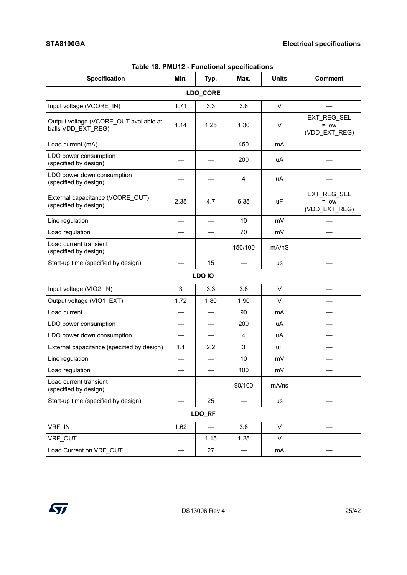| Specification                                                | Min.        | Typ.     | Max.    | <b>Units</b> | <b>Comment</b>                          |
|--------------------------------------------------------------|-------------|----------|---------|--------------|-----------------------------------------|
|                                                              |             | LDO_CORE |         |              |                                         |
| Input voltage (VCORE IN)                                     | 1.71        | 3.3      | 3.6     | $\vee$       |                                         |
| Output voltage (VCORE_OUT available at<br>balls VDD_EXT_REG) | 1.14        | 1.25     | 1.30    | V            | EXT_REG_SEL<br>$=$ low<br>(VDD_EXT_REG) |
| Load current (mA)                                            |             |          | 450     | mA           |                                         |
| LDO power consumption<br>(specified by design)               |             |          | 200     | uA           |                                         |
| LDO power down consumption<br>(specified by design)          |             |          | 4       | uA           |                                         |
| External capacitance (VCORE_OUT)<br>(specified by design)    | 2.35        | 4.7      | 6.35    | uF           | EXT_REG_SEL<br>$=$ low<br>(VDD_EXT_REG) |
| Line regulation                                              |             |          | 10      | mV           |                                         |
| Load regulation                                              |             |          | 70      | mV           |                                         |
| Load current transient<br>(specified by design)              |             |          | 150/100 | mA/nS        |                                         |
| Start-up time (specified by design)                          |             | 15       |         | us           |                                         |
|                                                              |             | LDO IO   |         |              |                                         |
| Input voltage (VIO2_IN)                                      | 3           | 3.3      | 3.6     | V            |                                         |
| Output voltage (VIO1_EXT)                                    | 1.72        | 1.80     | 1.90    | $\vee$       |                                         |
| Load current                                                 |             |          | 90      | mA           |                                         |
| LDO power consumption                                        |             |          | 200     | uA           |                                         |
| LDO power down consumption                                   |             |          | 4       | uA           |                                         |
| External capacitance (specified by design)                   | 1.1         | 2.2      | 3       | <b>uF</b>    |                                         |
| Line regulation                                              |             |          | 10      | mV           |                                         |
| Load regulation                                              |             |          | 100     | mV           |                                         |
| Load current transient<br>(specified by design)              |             |          | 90/100  | mA/ns        |                                         |
| Start-up time (specified by design)                          |             | 25       |         | us           |                                         |
|                                                              |             | LDO_RF   |         |              |                                         |
| VRF_IN                                                       | 1.62        |          | 3.6     | V            |                                         |
| VRF OUT                                                      | $\mathbf 1$ | 1.15     | 1.25    | V            |                                         |
| Load Current on VRF OUT                                      |             | 27       |         | mA           |                                         |

<span id="page-24-0"></span>

| Table 18. PMU12 - Functional specifications |  |  |
|---------------------------------------------|--|--|
|---------------------------------------------|--|--|

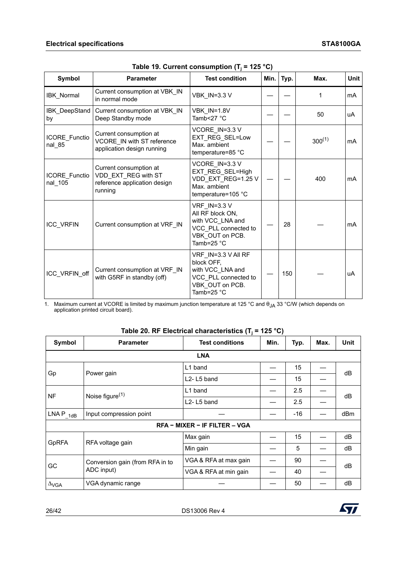| Symbol                         | <b>Parameter</b>                                                                                                                                                                | <b>Test condition</b>                                                                                                  | Min. | Typ. | Max.        | Unit |
|--------------------------------|---------------------------------------------------------------------------------------------------------------------------------------------------------------------------------|------------------------------------------------------------------------------------------------------------------------|------|------|-------------|------|
| IBK_Normal                     | Current consumption at VBK IN<br>in normal mode                                                                                                                                 | <b>VBK_IN=3.3 V</b>                                                                                                    |      |      |             | mA   |
| IBK_DeepStand<br>by            | Current consumption at VBK_IN<br>Deep Standby mode                                                                                                                              | VBK IN=1.8V<br>Tamb $\leq$ 27 °C                                                                                       |      |      | 50          | uA   |
| <b>ICORE Functio</b><br>nal_85 | Current consumption at<br>VCORE IN with ST reference<br>application design running                                                                                              | VCORE IN=3.3 V<br>EXT_REG_SEL=Low<br>Max. ambient<br>temperature=85 °C                                                 |      |      | $300^{(1)}$ | mA   |
| ICORE_Functio<br>nal 105       | Current consumption at<br>VDD EXT REG with ST<br>reference application design<br>running                                                                                        | VCORE IN=3.3 V<br>EXT REG_SEL=High<br>VDD_EXT_REG=1.25 V<br>Max. ambient<br>temperature=105 °C                         |      |      | 400         | mA   |
| ICC_VRFIN                      | Current consumption at VRF_IN                                                                                                                                                   | <b>VRF IN=3.3 V</b><br>All RF block ON,<br>with VCC LNA and<br>VCC PLL connected to<br>VBK OUT on PCB.<br>Tamb=25 $°C$ |      | 28   |             | mA   |
| ICC_VRFIN_off                  | VRF IN=3.3 V All RF<br>block OFF,<br>Current consumption at VRF_IN<br>with VCC LNA and<br>with G5RF in standby (off)<br>VCC PLL connected to<br>VBK OUT on PCB.<br>Tamb=25 $°C$ |                                                                                                                        |      | 150  |             | uA   |

<span id="page-25-0"></span>

|  |  | Table 19. Current consumption (T $_{\rm j}$ = 125 °C) $^{\circ}$ |  |
|--|--|------------------------------------------------------------------|--|
|--|--|------------------------------------------------------------------|--|

1. Maximum current at VCORE is limited by maximum junction temperature at 125 °C and θ<sub>JA</sub> 33 °C/W (which depends on application printed circuit board).

| <b>Symbol</b>           | <b>Parameter</b>                | <b>Test conditions</b>              | Min. | Typ.  | Max. | <b>Unit</b> |  |  |  |
|-------------------------|---------------------------------|-------------------------------------|------|-------|------|-------------|--|--|--|
| <b>LNA</b>              |                                 |                                     |      |       |      |             |  |  |  |
|                         | Power gain                      | L1 band                             |      | 15    |      | dB          |  |  |  |
| Gp                      |                                 | L2-L5 band                          |      | 15    |      |             |  |  |  |
|                         | Noise figure $(1)$<br><b>NF</b> | L1 band                             |      | 2.5   |      | dB          |  |  |  |
|                         |                                 | L <sub>2</sub> -L <sub>5</sub> band |      | 2.5   |      |             |  |  |  |
| LNAP <sub>1dB</sub>     | Input compression point         |                                     |      | $-16$ |      | dBm         |  |  |  |
|                         |                                 | RFA - MIXER - IF FILTER - VGA       |      |       |      |             |  |  |  |
| <b>GpRFA</b>            | RFA voltage gain                | Max gain                            |      | 15    |      | dB          |  |  |  |
|                         |                                 | Min gain                            |      | 5     |      | dB          |  |  |  |
|                         | Conversion gain (from RFA in to | VGA & RFA at max gain               |      | 90    |      | dB          |  |  |  |
| GC                      | ADC input)                      | VGA & RFA at min gain               |      | 40    |      |             |  |  |  |
| $\Delta_{\mathsf{VGA}}$ | VGA dynamic range               |                                     |      | 50    |      | dB          |  |  |  |

<span id="page-25-1"></span>

|  | Table 20. RF Electrical characteristics (T $_{\rm j}$ = 125 °C) |  |  |
|--|-----------------------------------------------------------------|--|--|
|  |                                                                 |  |  |

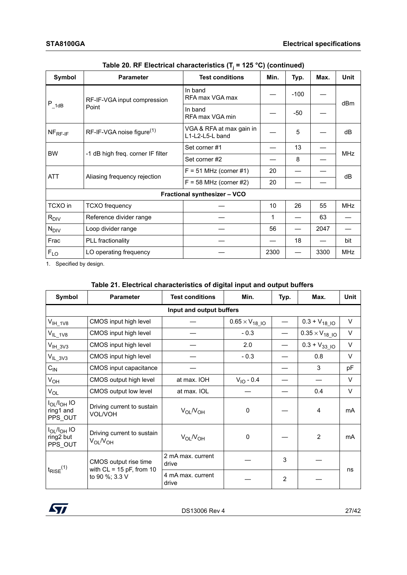| Symbol                                         | <b>Parameter</b>                        | <b>Test conditions</b>                      | Min. | Typ.   | Max.       | <b>Unit</b> |
|------------------------------------------------|-----------------------------------------|---------------------------------------------|------|--------|------------|-------------|
| $P_{1dB}$                                      | RF-IF-VGA input compression             | In band<br>RFA max VGA max                  |      | $-100$ |            | dBm         |
|                                                | Point                                   | In band<br>RFA max VGA min                  |      | $-50$  |            |             |
| $NFRF-IF$                                      | $RF-IF-VGA$ noise figure <sup>(1)</sup> | VGA & RFA at max gain in<br>L1-L2-L5-L band |      | 5      |            | dB          |
| <b>BW</b><br>-1 dB high freq. corner IF filter | Set corner #1                           |                                             | 13   |        | <b>MHz</b> |             |
|                                                |                                         | Set corner #2                               |      | 8      |            |             |
|                                                | Aliasing frequency rejection            | $F = 51$ MHz (corner #1)                    | 20   |        |            | dB          |
| <b>ATT</b>                                     |                                         | $F = 58$ MHz (corner #2)                    | 20   |        |            |             |
|                                                |                                         | Fractional synthesizer - VCO                |      |        |            |             |
| TCXO in                                        | <b>TCXO</b> frequency                   |                                             | 10   | 26     | 55         | <b>MHz</b>  |
| $R_{\text{DIV}}$                               | Reference divider range                 |                                             | 1    |        | 63         |             |
| $N_{\text{DIV}}$                               | Loop divider range                      |                                             | 56   |        | 2047       |             |
| Frac                                           | PLL fractionality                       |                                             |      | 18     |            | bit         |
| $F_{LO}$                                       | LO operating frequency                  |                                             | 2300 |        | 3300       | <b>MHz</b>  |

| Table 20. RF Electrical characteristics (T <sub>i</sub> = 125 °C) (continued) |  |  |  |
|-------------------------------------------------------------------------------|--|--|--|
|-------------------------------------------------------------------------------|--|--|--|

<span id="page-26-0"></span>1. Specified by design.

<span id="page-26-1"></span>**Table 21. Electrical characteristics of digital input and output buffers**

| Symbol                                     | <b>Parameter</b>                                    | <b>Test conditions</b>     | Min.                    |   | Max.                         | <b>Unit</b> |  |  |  |
|--------------------------------------------|-----------------------------------------------------|----------------------------|-------------------------|---|------------------------------|-------------|--|--|--|
| Input and output buffers                   |                                                     |                            |                         |   |                              |             |  |  |  |
| $V_{IH_1V8}$                               | CMOS input high level                               |                            | $0.65 \times V_{18}$ IO |   | $0.3 + V_{18}$ <sub>10</sub> | V           |  |  |  |
| $V_{IL_1V8}$                               | CMOS input high level                               |                            | $-0.3$                  |   | $0.35 \times V_{18}$ IO      | V           |  |  |  |
| $V_{IH}$ 3V3                               | CMOS input high level                               |                            | 2.0                     |   | $0.3 + V_{33\_10}$           | V           |  |  |  |
| $V_{IL_3V3}$                               | CMOS input high level                               |                            | $-0.3$                  |   | 0.8                          | $\vee$      |  |  |  |
| $C_{IN}$                                   | CMOS input capacitance                              |                            |                         |   | 3                            | рF          |  |  |  |
| $V_{OH}$                                   | CMOS output high level                              | at max. IOH                | $V_{10} - 0.4$          |   |                              | V           |  |  |  |
| $V_{OL}$                                   | CMOS output low level                               | at max. IOL                |                         |   | 0.4                          | V           |  |  |  |
| $I_{OL}/I_{OH}$ IO<br>ring1 and<br>PPS_OUT | Driving current to sustain<br><b>VOL/VOH</b>        | $V_{OL}/V_{OH}$            | $\Omega$                |   | $\overline{4}$               | mA          |  |  |  |
| $I_{OL}/I_{OH}$ IO<br>ring2 but<br>PPS_OUT | Driving current to sustain<br>$V_{OL}N_{OH}$        | $V_{OL}/V_{OH}$            | 0                       |   | 2                            | mA          |  |  |  |
| $t_{\text{RISE}}^{(1)}$                    | CMOS output rise time<br>with $CL = 15$ pF, from 10 | 2 mA max. current<br>drive |                         | 3 |                              | ns          |  |  |  |
|                                            | to 90 %; 3.3 V                                      | 4 mA max, current<br>drive |                         | 2 |                              |             |  |  |  |

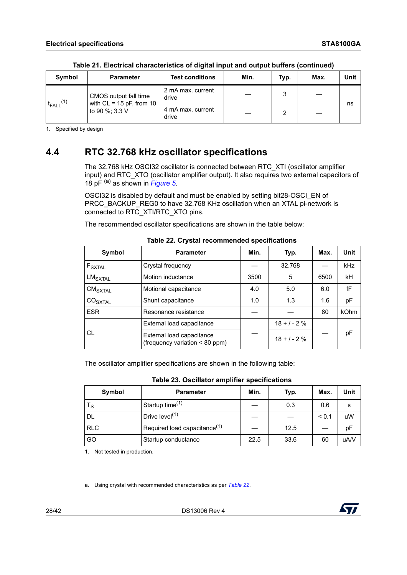| Symbol              | <b>Parameter</b>                                    | <b>Test conditions</b>     | Min. | Typ. | Max. | <b>Unit</b> |
|---------------------|-----------------------------------------------------|----------------------------|------|------|------|-------------|
|                     | CMOS output fall time<br>with $CL = 15$ pF, from 10 | 2 mA max. current<br>drive |      | 3    |      |             |
| FALL <sup>(1)</sup> | to 90 %; 3.3 V                                      | 4 mA max. current<br>drive |      |      |      | ns          |

**Table 21. Electrical characteristics of digital input and output buffers (continued)**

<span id="page-27-1"></span>1. Specified by design

## <span id="page-27-0"></span>**4.4 RTC 32.768 kHz oscillator specifications**

The 32.768 kHz OSCI32 oscillator is connected between RTC\_XTI (oscillator amplifier input) and RTC\_XTO (oscillator amplifier output). It also requires two external capacitors of 18 pF (a) as shown in *[Figure 5](#page-28-1)*.

OSCI32 is disabled by default and must be enabled by setting bit28-OSCI\_EN of PRCC\_BACKUP\_REG0 to have 32.768 KHz oscillation when an XTAL pi-network is connected to RTC\_XTI/RTC\_XTO pins.

The recommended oscillator specifications are shown in the table below:

<span id="page-27-2"></span>

| Symbol                                                             | <b>Parameter</b>                                            | Min. | Typ.          | Max. | Unit        |
|--------------------------------------------------------------------|-------------------------------------------------------------|------|---------------|------|-------------|
| $F_{\mathsf{SXTAL}}$                                               | Crystal frequency                                           |      | 32.768        |      | <b>kHz</b>  |
| $LM_{\footnotesize\mathsf{SXTAL}}$                                 | Motion inductance                                           | 3500 | 5             | 6500 | <b>kH</b>   |
| $\mathsf{CM}_{\mathsf{S}\mathsf{X}\mathsf{T}\mathsf{A}\mathsf{L}}$ | Motional capacitance                                        | 4.0  | 5.0           | 6.0  | fF          |
| $\text{CO}_{\text{SXTAL}}$                                         | Shunt capacitance                                           | 1.0  | 1.3           | 1.6  | pF          |
| <b>ESR</b>                                                         | Resonance resistance                                        |      |               | 80   | <b>kOhm</b> |
|                                                                    | External load capacitance                                   |      | $18 + 1 - 2%$ |      |             |
| СL                                                                 | External load capacitance<br>(frequency variation < 80 ppm) |      | $18 + 1 - 2%$ |      | pF          |

<span id="page-27-5"></span><span id="page-27-4"></span>**Table 22. Crystal recommended specifications**

The oscillator amplifier specifications are shown in the following table:

| Table 23. Oscillator amplifier specifications |  |  |
|-----------------------------------------------|--|--|
|-----------------------------------------------|--|--|

| Symbol      | <b>Parameter</b>                         | Min. | Typ. | Max.  | <b>Unit</b> |
|-------------|------------------------------------------|------|------|-------|-------------|
| $T_{\rm S}$ | Startup time <sup>(1)</sup>              |      | 0.3  | 0.6   | s           |
| <b>DL</b>   | Drive level <sup>(1)</sup>               |      |      | < 0.1 | uW          |
| <b>RLC</b>  | Required load capacitance <sup>(1)</sup> |      | 12.5 |       | pF          |
| GO          | Startup conductance                      | 22.5 | 33.6 | 60    | uA/V        |

<span id="page-27-3"></span>1. Not tested in production.

a. Using crystal with recommended characteristics as per *[Table 22](#page-27-2)*.



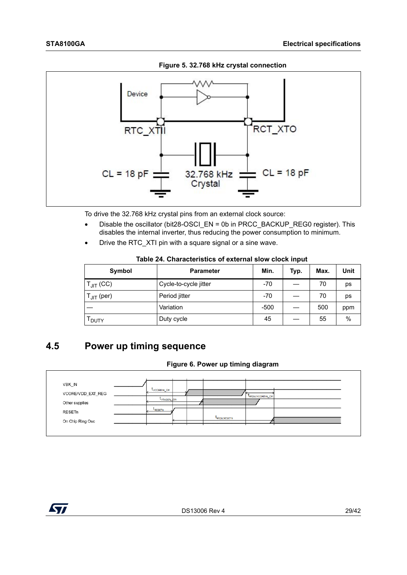<span id="page-28-1"></span>

**Figure 5. 32.768 kHz crystal connection**

To drive the 32.768 kHz crystal pins from an external clock source:

- Disable the oscillator (bit28-OSCI\_EN = 0b in PRCC\_BACKUP\_REG0 register). This disables the internal inverter, thus reducing the power consumption to minimum.
- Drive the RTC\_XTI pin with a square signal or a sine wave.

| Symbol            | <b>Parameter</b>      | Min.   | Typ. | Max. | Unit |
|-------------------|-----------------------|--------|------|------|------|
| $T_{JIT}$ (CC)    | Cycle-to-cycle jitter | $-70$  |      | 70   | ps   |
| $T_{JIT}$ (per)   | Period jitter         | $-70$  |      | 70   | ps   |
|                   | Variation             | $-500$ |      | 500  | ppm  |
| <sup>I</sup> DUTY | Duty cycle            | 45     |      | 55   | %    |

#### **Table 24. Characteristics of external slow clock input**

## <span id="page-28-0"></span>**4.5 Power up timing sequence**

#### **Figure 6. Power up timing diagram**

| VBK_IN            |                         |  |                          |                  |  |
|-------------------|-------------------------|--|--------------------------|------------------|--|
| VCORE/VDD_EXT_REG | LVCOREIN_On             |  |                          | LRIOSCVCOREIN_On |  |
| Other supplies    | t <sub>VSupply</sub> on |  |                          |                  |  |
| <b>RESETn</b>     | <b>LRESETH</b>          |  |                          |                  |  |
| On Chip Ring Osc  |                         |  | t <sub>Rioscreseth</sub> |                  |  |

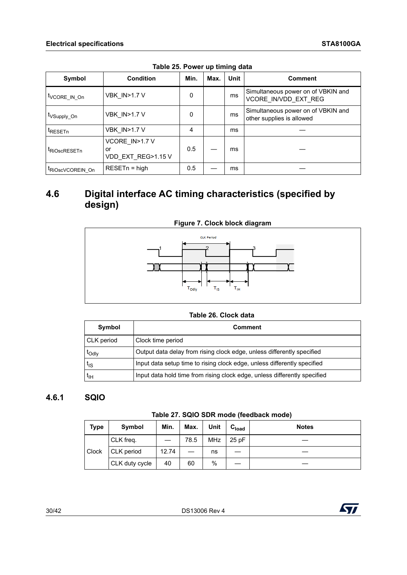| Symbol                          | <b>Condition</b>                           | Min. | Max. | <b>Unit</b> | <b>Comment</b>                                                  |
|---------------------------------|--------------------------------------------|------|------|-------------|-----------------------------------------------------------------|
| t <sub>VCORE</sub> IN On        | <b>VBK IN&gt;1.7 V</b>                     | 0    |      | ms          | Simultaneous power on of VBKIN and<br>VCORE IN/VDD EXT REG      |
| t <sub>VSupply_On</sub>         | <b>VBK IN&gt;1.7 V</b>                     | 0    |      | ms          | Simultaneous power on of VBKIN and<br>other supplies is allowed |
| <sup>t</sup> RESET <sub>n</sub> | <b>VBK IN&gt;1.7 V</b>                     | 4    |      | ms          |                                                                 |
| <sup>T</sup> RiOscRESETn        | VCORE IN>1.7 V<br>or<br>VDD EXT REG>1.15 V | 0.5  |      | ms          |                                                                 |
| <sup>I</sup> RiOscVCOREIN On    | $RESETn = high$                            | 0.5  |      | ms          |                                                                 |

**Table 25. Power up timing data**

## <span id="page-29-4"></span><span id="page-29-0"></span>**4.6 Digital interface AC timing characteristics (specified by design)**

<span id="page-29-3"></span>



#### <span id="page-29-2"></span>**Table 26. Clock data**

| Symbol        | <b>Comment</b>                                                            |  |  |  |
|---------------|---------------------------------------------------------------------------|--|--|--|
| CLK period    | Clock time period                                                         |  |  |  |
| <b>L</b> Odly | Output data delay from rising clock edge, unless differently specified    |  |  |  |
| ЧS            | Input data setup time to rising clock edge, unless differently specified  |  |  |  |
| ЧΗ            | Input data hold time from rising clock edge, unless differently specified |  |  |  |

#### <span id="page-29-1"></span>**4.6.1 SQIO**

| Table 27. SQIO SDR mode (feedback mode) |  |
|-----------------------------------------|--|
|-----------------------------------------|--|

| <b>Type</b> | Symbol         | Min.  | Max. | Unit       | C <sub>load</sub> | <b>Notes</b> |
|-------------|----------------|-------|------|------------|-------------------|--------------|
|             | CLK freq.      |       | 78.5 | <b>MHz</b> | 25 pF             |              |
| Clock       | CLK period     | 12.74 |      | ns         |                   |              |
|             | CLK duty cycle | 40    | 60   | %          |                   |              |

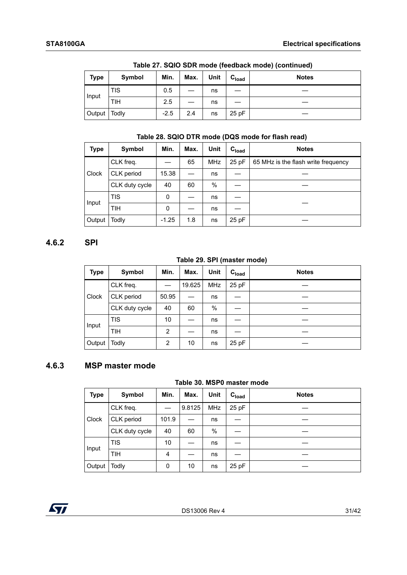|             | <b>Table ET: OGIO OBIT IIIOGO (ICCADAON IIIOGO) (COIRTINGO)</b> |        |      |      |                   |              |  |  |
|-------------|-----------------------------------------------------------------|--------|------|------|-------------------|--------------|--|--|
| <b>Type</b> | Symbol                                                          | Min.   | Max. | Unit | C <sub>load</sub> | <b>Notes</b> |  |  |
|             | TIS                                                             | 0.5    |      | ns   |                   |              |  |  |
| Input       | TIH                                                             | 2.5    |      | ns   |                   |              |  |  |
| Output      | Todly                                                           | $-2.5$ | 2.4  | ns   | 25 pF             |              |  |  |

**Table 27. SQIO SDR mode (feedback mode) (continued)**

#### <span id="page-30-2"></span>**Table 28. SQIO DTR mode (DQS mode for flash read)**

| <b>Type</b> | Symbol         | Min.    | Max. | Unit       | C <sub>load</sub> | <b>Notes</b>                        |  |
|-------------|----------------|---------|------|------------|-------------------|-------------------------------------|--|
|             | CLK freq.      |         | 65   | <b>MHz</b> | 25 pF             | 65 MHz is the flash write frequency |  |
| Clock       | CLK period     | 15.38   |      | ns         |                   |                                     |  |
|             | CLK duty cycle | 40      | 60   | %          |                   |                                     |  |
| Input       | <b>TIS</b>     | 0       |      | ns         |                   |                                     |  |
|             | <b>TIH</b>     | 0       |      | ns         |                   |                                     |  |
| Output      | Todly          | $-1.25$ | 1.8  | ns         | 25 pF             |                                     |  |

#### <span id="page-30-0"></span>**4.6.2 SPI**

#### **Table 29. SPI (master mode)**

| <b>Type</b> | Symbol         | Min.  | Max.   | <b>Unit</b> | C <sub>load</sub> | <b>Notes</b> |
|-------------|----------------|-------|--------|-------------|-------------------|--------------|
| Clock       | CLK freq.      |       | 19.625 | <b>MHz</b>  | 25 pF             |              |
|             | CLK period     | 50.95 |        | ns          |                   |              |
|             | CLK duty cycle | 40    | 60     | %           |                   |              |
| Input       | <b>TIS</b>     | 10    |        | ns          |                   |              |
|             | <b>TIH</b>     | 2     |        | ns          |                   |              |
| Output      | Todly          | 2     | 10     | ns          | 25 pF             |              |

#### <span id="page-30-1"></span>**4.6.3 MSP master mode**

#### **Table 30. MSP0 master mode**

| <b>Type</b> | Symbol         | Min.  | Max.   | Unit       | C <sub>load</sub> | <b>Notes</b> |
|-------------|----------------|-------|--------|------------|-------------------|--------------|
|             | CLK freq.      |       | 9.8125 | <b>MHz</b> | 25 pF             |              |
| Clock       | CLK period     | 101.9 |        | ns         |                   |              |
|             | CLK duty cycle | 40    | 60     | %          |                   |              |
| Input       | <b>TIS</b>     | 10    |        | ns         |                   |              |
|             | <b>TIH</b>     | 4     |        | ns         |                   |              |
| Output      | Todly          | 0     | 10     | ns         | 25 pF             |              |

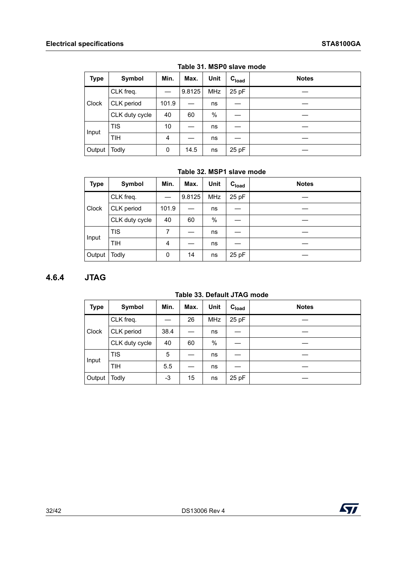| <b>Type</b>  | Symbol         | Min.  | Max.   | Unit       | C <sub>load</sub> | <b>Notes</b> |
|--------------|----------------|-------|--------|------------|-------------------|--------------|
| <b>Clock</b> | CLK freq.      |       | 9.8125 | <b>MHz</b> | 25 pF             |              |
|              | CLK period     | 101.9 |        | ns         |                   |              |
|              | CLK duty cycle | 40    | 60     | $\%$       |                   |              |
| Input        | <b>TIS</b>     | 10    |        | ns         |                   |              |
|              | <b>TIH</b>     | 4     |        | ns         |                   |              |
| Output       | Todly          | 0     | 14.5   | ns         | 25 pF             |              |

**Table 31. MSP0 slave mode**

#### **Table 32. MSP1 slave mode**

| <b>Type</b> | Symbol         | Min.  | Max.   | Unit       | C <sub>load</sub> | <b>Notes</b> |
|-------------|----------------|-------|--------|------------|-------------------|--------------|
|             | CLK freq.      |       | 9.8125 | <b>MHz</b> | 25 pF             |              |
| Clock       | CLK period     | 101.9 |        | ns         |                   |              |
|             | CLK duty cycle | 40    | 60     | $\%$       |                   |              |
| Input       | <b>TIS</b>     | 7     |        | ns         |                   |              |
|             | <b>TIH</b>     | 4     |        | ns         |                   |              |
| Output      | Todly          | 0     | 14     | ns         | 25 pF             |              |

#### <span id="page-31-0"></span>**4.6.4 JTAG**

#### **Table 33. Default JTAG mode**

| <b>Type</b> | Symbol         | Min. | Max. | <b>Unit</b> | C <sub>load</sub> | <b>Notes</b> |
|-------------|----------------|------|------|-------------|-------------------|--------------|
|             | CLK freq.      |      | 26   | <b>MHz</b>  | 25 pF             |              |
| Clock       | CLK period     | 38.4 |      | ns          |                   |              |
|             | CLK duty cycle | 40   | 60   | %           |                   |              |
| Input       | <b>TIS</b>     | 5    |      | ns          |                   |              |
|             | <b>TIH</b>     | 5.5  |      | ns          |                   |              |
| Output      | Todly          | -3   | 15   | ns          | 25 pF             |              |

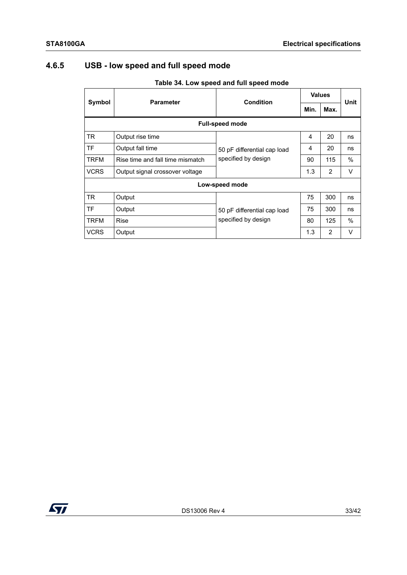## <span id="page-32-0"></span>**4.6.5 USB - low speed and full speed mode**

<span id="page-32-2"></span>

|             |                                  |                             | <b>Values</b> |      |      |  |  |  |  |
|-------------|----------------------------------|-----------------------------|---------------|------|------|--|--|--|--|
| Symbol      | <b>Parameter</b>                 | <b>Condition</b>            | Min.          | Max. | Unit |  |  |  |  |
|             | <b>Full-speed mode</b>           |                             |               |      |      |  |  |  |  |
| <b>TR</b>   | Output rise time                 |                             | 4             | 20   | ns   |  |  |  |  |
| l TF        | Output fall time                 | 50 pF differential cap load | 4             | 20   | ns   |  |  |  |  |
| <b>TRFM</b> | Rise time and fall time mismatch | specified by design         | 90            | 115  | %    |  |  |  |  |
| <b>VCRS</b> | Output signal crossover voltage  |                             | 1.3           | 2    | V    |  |  |  |  |
|             | Low-speed mode                   |                             |               |      |      |  |  |  |  |
| <b>TR</b>   | Output                           |                             | 75            | 300  | ns   |  |  |  |  |
| l TF        | Output                           | 50 pF differential cap load | 75            | 300  | ns   |  |  |  |  |
| <b>TRFM</b> | <b>Rise</b>                      | specified by design         | 80            | 125  | %    |  |  |  |  |
| <b>VCRS</b> | Output                           |                             | 1.3           | 2    | V    |  |  |  |  |

#### <span id="page-32-1"></span>**Table 34. Low speed and full speed mode**

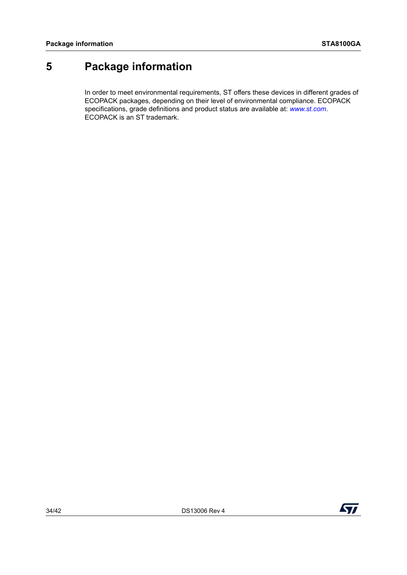## <span id="page-33-0"></span>**5 Package information**

In order to meet environmental requirements, ST offers these devices in different grades of ECOPACK packages, depending on their level of environmental compliance. ECOPACK specifications, grade definitions and product status are available at: *[www.st.com](http://www.st.com)*. ECOPACK is an ST trademark.

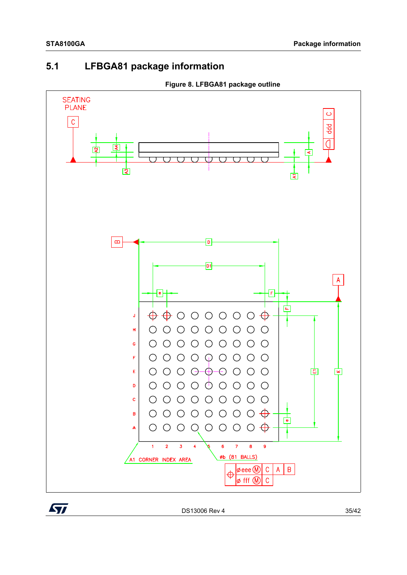## <span id="page-34-0"></span>**5.1 LFBGA81 package information**



**Figure 8. LFBGA81 package outline**

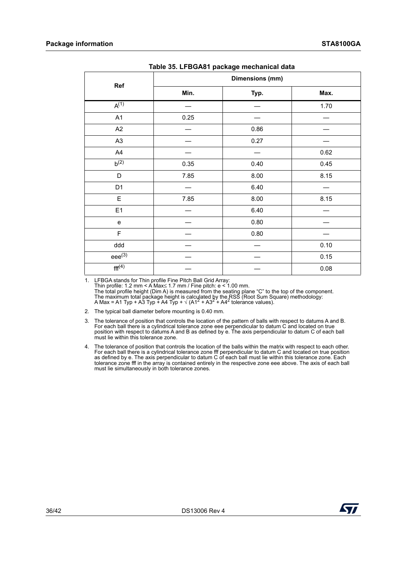| rasio cor Er Borto i paonago moonamoaraata |      |                 |      |  |  |  |  |  |  |
|--------------------------------------------|------|-----------------|------|--|--|--|--|--|--|
| Ref                                        |      | Dimensions (mm) |      |  |  |  |  |  |  |
|                                            | Min. | Typ.            | Max. |  |  |  |  |  |  |
| $A^{(1)}$                                  |      |                 | 1.70 |  |  |  |  |  |  |
| A1                                         | 0.25 |                 |      |  |  |  |  |  |  |
| A2                                         |      | 0.86            |      |  |  |  |  |  |  |
| A <sub>3</sub>                             |      | 0.27            |      |  |  |  |  |  |  |
| AA                                         |      |                 | 0.62 |  |  |  |  |  |  |
| $b^{(2)}$                                  | 0.35 | 0.40            | 0.45 |  |  |  |  |  |  |
| $\mathsf D$                                | 7.85 | 8.00            | 8.15 |  |  |  |  |  |  |
| D <sub>1</sub>                             |      | 6.40            |      |  |  |  |  |  |  |
| E                                          | 7.85 | 8.00            | 8.15 |  |  |  |  |  |  |
| E1                                         |      | 6.40            |      |  |  |  |  |  |  |
| e                                          |      | 0.80            |      |  |  |  |  |  |  |
| F                                          |      | 0.80            |      |  |  |  |  |  |  |
| ddd                                        |      |                 | 0.10 |  |  |  |  |  |  |
| $eee^{(3)}$                                |      |                 | 0.15 |  |  |  |  |  |  |
| fff <sup>(4)</sup>                         |      |                 | 0.08 |  |  |  |  |  |  |

|  | Table 35. LFBGA81 package mechanical data |
|--|-------------------------------------------|
|--|-------------------------------------------|

1. LFBGA stands for Thin profile Fine Pitch Ball Grid Array:<br>Thin profile: 1.2 mm < A Max≤ 1.7 mm / Fine pitch: e < 1.00 mm.<br>The total profile height (Dim A) is measured from the seating plane "C" to the top of the compo

2. The typical ball diameter before mounting is 0.40 mm.

3. The tolerance of position that controls the location of the pattern of balls with respect to datums A and B. For each ball there is a cylindrical tolerance zone eee perpendicular to datum C and located on true position with respect to datums A and B as defined by e. The axis perpendicular to datum C of each ball must lie within this tolerance zone.

4. The tolerance of position that controls the location of the balls within the matrix with respect to each other.<br>For each ball there is a cylindrical tolerance zone fff perpendicular to datum C and located on true positi tolerance zone fff in the array is contained entirely in the respective zone eee above. The axis of each ball must lie simultaneously in both tolerance zones.

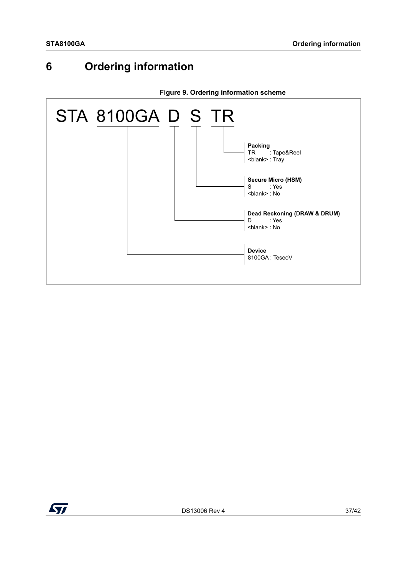## <span id="page-36-0"></span>**6 Ordering information**

<span id="page-36-1"></span>

**Figure 9. Ordering information scheme**

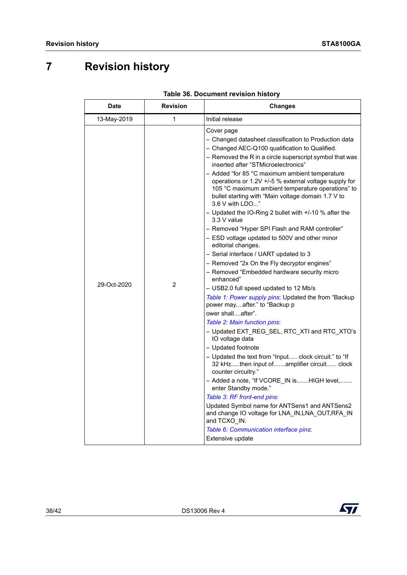## <span id="page-37-0"></span>**7 Revision history**

| <b>Date</b> | <b>Revision</b> | <b>Changes</b>                                                                                                                                                                                                                                                                                                                                                                                                                                                                                                                                                                                                                                                                                                                                                                                                                                                                                                                                                                                                                                                                                                                                                                                                                                                                                                                                                                                                                                                                                                                            |
|-------------|-----------------|-------------------------------------------------------------------------------------------------------------------------------------------------------------------------------------------------------------------------------------------------------------------------------------------------------------------------------------------------------------------------------------------------------------------------------------------------------------------------------------------------------------------------------------------------------------------------------------------------------------------------------------------------------------------------------------------------------------------------------------------------------------------------------------------------------------------------------------------------------------------------------------------------------------------------------------------------------------------------------------------------------------------------------------------------------------------------------------------------------------------------------------------------------------------------------------------------------------------------------------------------------------------------------------------------------------------------------------------------------------------------------------------------------------------------------------------------------------------------------------------------------------------------------------------|
| 13-May-2019 | 1               | Initial release                                                                                                                                                                                                                                                                                                                                                                                                                                                                                                                                                                                                                                                                                                                                                                                                                                                                                                                                                                                                                                                                                                                                                                                                                                                                                                                                                                                                                                                                                                                           |
| 29-Oct-2020 | 2               | Cover page<br>– Changed datasheet classification to Production data<br>- Changed AEC-Q100 qualification to Qualified.<br>- Removed the R in a circle superscript symbol that was<br>inserted after "STMicroelectronics"<br>- Added "for 85 °C maximum ambient temperature<br>operations or 1.2V +/-5 % external voltage supply for<br>105 °C maximum ambient temperature operations" to<br>bullet starting with "Main voltage domain 1.7 V to<br>3.6 V with LDO"<br>- Updated the IO-Ring 2 bullet with +/-10 % after the<br>3.3 V value<br>- Removed "Hyper SPI Flash and RAM controller"<br>- ESD voltage updated to 500V and other minor<br>editorial changes.<br>- Serial interface / UART updated to 3<br>- Removed "2x On the Fly decryptor engines"<br>- Removed "Embedded hardware security micro<br>enhanced"<br>- USB2.0 full speed updated to 12 Mb/s<br>Table 1: Power supply pins: Updated the from "Backup<br>power mayafter." to "Backup p<br>ower shallafter".<br>Table 2: Main function pins:<br>- Updated EXT_REG_SEL, RTC_XTI and RTC_XTO's<br>IO voltage data<br>- Updated footnote<br>- Updated the text from "Input clock circuit." to "If<br>32 kHzthen input ofamplifier circuit clock<br>counter circuitry."<br>- Added a note, "If VCORE_IN isHIGH level,<br>enter Standby mode."<br>Table 3: RF front-end pins:<br>Updated Symbol name for ANTSens1 and ANTSens2<br>and change IO voltage for LNA_IN,LNA_OUT,RFA_IN<br>and TCXO <sub>.</sub> IN.<br>Table 6: Communication interface pins:<br>Extensive update |

#### **Table 36. Document revision history**

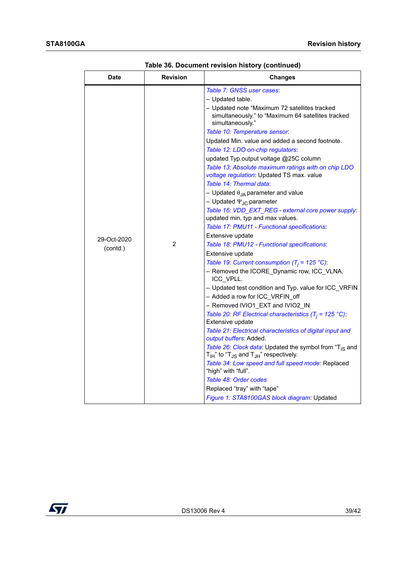| <b>Date</b> | <b>Revision</b> | <b>Changes</b>                                                                                                          |
|-------------|-----------------|-------------------------------------------------------------------------------------------------------------------------|
|             |                 | Table 7: GNSS user cases:                                                                                               |
|             |                 | - Updated table.                                                                                                        |
|             |                 | - Updated note "Maximum 72 satellites tracked<br>simultaneously." to "Maximum 64 satellites tracked<br>simultaneously." |
|             |                 | Table 10: Temperature sensor:                                                                                           |
|             |                 | Updated Min. value and added a second footnote.                                                                         |
|             |                 | Table 12: LDO on-chip regulators:                                                                                       |
|             |                 | updated Typ.output voltage @25C column                                                                                  |
|             |                 | Table 13: Absolute maximum ratings with on chip LDO<br>voltage regulation: Updated TS max. value                        |
|             |                 | Table 14: Thermal data:                                                                                                 |
|             | $\overline{2}$  | – Updated $\theta_{JA}$ parameter and value                                                                             |
|             |                 | – Updated Ψ <sub>JC</sub> parameter                                                                                     |
|             |                 | Table 16: VDD_EXT_REG - external core power supply:<br>updated min, typ and max values.                                 |
|             |                 | Table 17: PMU11 - Functional specifications:                                                                            |
| 29-Oct-2020 |                 | Extensive update                                                                                                        |
| (contd.)    |                 | Table 18: PMU12 - Functional specifications:                                                                            |
|             |                 | Extensive update                                                                                                        |
|             |                 | Table 19: Current consumption ( $T_i$ = 125 °C):                                                                        |
|             |                 | - Removed the ICORE Dynamic row, ICC VLNA,<br>ICC_VPLL.                                                                 |
|             |                 | - Updated test condition and Typ. value for ICC_VRFIN                                                                   |
|             |                 | - Added a row for ICC VRFIN off                                                                                         |
|             |                 | - Removed IVIO1 EXT and IVIO2 IN                                                                                        |
|             |                 | Table 20: RF Electrical characteristics $(T_i = 125 \text{ }^{\circ}\text{C})$ :<br>Extensive update                    |
|             |                 | Table 21: Electrical characteristics of digital input and<br>output buffers: Added.                                     |
|             |                 | Table 26: Clock data: Updated the symbol from "T <sub>IS</sub> and                                                      |
|             |                 | $T_{\text{IH}}$ " to " $T_{\text{JS}}$ and $T_{\text{JH}}$ " respectively.                                              |
|             |                 | Table 34: Low speed and full speed mode: Replaced<br>"high" with "full".                                                |
|             |                 | Table 48: Order codes                                                                                                   |
|             |                 | Replaced "tray" with "tape"                                                                                             |
|             |                 | Figure 1: STA8100GAS block diagram: Updated                                                                             |

**Table 36. Document revision history (continued)**

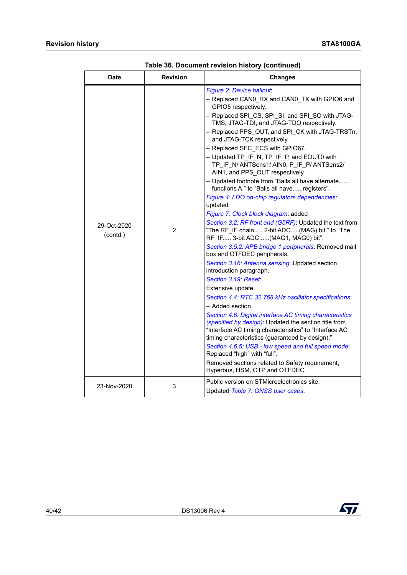| <b>Date</b>             | <b>Revision</b> | <b>Changes</b>                                                                                                                                                                                                                                                                                                                                                                                                                                                                                                                                                                                                                                                                                                                                                          |
|-------------------------|-----------------|-------------------------------------------------------------------------------------------------------------------------------------------------------------------------------------------------------------------------------------------------------------------------------------------------------------------------------------------------------------------------------------------------------------------------------------------------------------------------------------------------------------------------------------------------------------------------------------------------------------------------------------------------------------------------------------------------------------------------------------------------------------------------|
| 29-Oct-2020<br>(contd.) | 2               | Figure 2: Device ballout:<br>- Replaced CAN0 RX and CAN0 TX with GPIO6 and<br>GPIO5 respectively.<br>- Replaced SPI CS, SPI SI, and SPI SO with JTAG-<br>TMS, JTAG-TDI, and JTAG-TDO respectively.<br>- Replaced PPS OUT, and SPI CK with JTAG-TRSTn,<br>and JTAG-TCK respectively.<br>- Replaced SFC ECS with GPIO67.<br>- Updated TP_IF_N, TP_IF_P, and EOUT0 with<br>TP IF N/ANTSens1/AIN0, P IF P/ANTSens2/<br>AIN1, and PPS OUT respectively.<br>- Updated footnote from "Balls all have alternate<br>functions A." to "Balls all haveregisters".<br>Figure 4: LDO on-chip regulators dependencies:<br>updated<br>Figure 7: Clock block diagram: added<br>Section 3.2: RF front end (G5RF): Updated the text from<br>"The RF IF chain 2-bit ADC(MAG) bit." to "The |
|                         |                 | RF IF 3-bit ADC(MAG1, MAG0) bit".<br>Section 3.5.2: APB bridge 1 peripherals: Removed mail<br>box and OTFDEC peripherals.<br>Section 3.16: Antenna sensing: Updated section<br>introduction paragraph.<br>Section 3.19: Reset:<br>Extensive update<br>Section 4.4: RTC 32.768 kHz oscillator specifications:<br>– Added section<br>Section 4.6: Digital interface AC timing characteristics<br>(specified by design): Updated the section title from<br>"Interface AC timing characteristics" to "Interface AC<br>timing characteristics (guaranteed by design)."<br>Section 4.6.5: USB - low speed and full speed mode:<br>Replaced "high" with "full".<br>Removed sections related to Safety requirement,<br>Hyperbus, HSM, OTP and OTFDEC.                           |
| 23-Nov-2020             | 3               | Public version on STMicroelectronics site.<br>Updated Table 7: GNSS user cases.                                                                                                                                                                                                                                                                                                                                                                                                                                                                                                                                                                                                                                                                                         |

**Table 36. Document revision history (continued)**

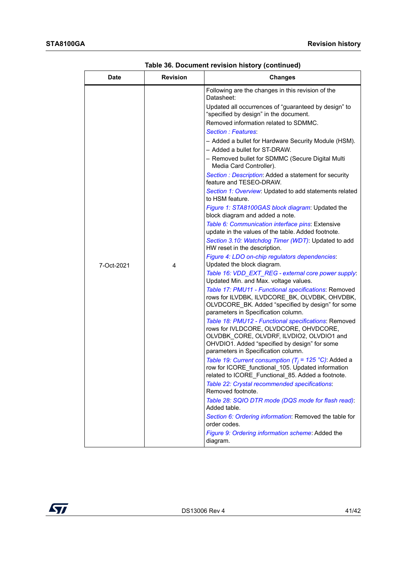| <b>Date</b> | <b>Revision</b> | <b>Changes</b>                                                                                                                                                                                                                      |
|-------------|-----------------|-------------------------------------------------------------------------------------------------------------------------------------------------------------------------------------------------------------------------------------|
| 7-Oct-2021  | 4               | Following are the changes in this revision of the<br>Datasheet:                                                                                                                                                                     |
|             |                 | Updated all occurrences of "guaranteed by design" to<br>"specified by design" in the document.                                                                                                                                      |
|             |                 | Removed information related to SDMMC.                                                                                                                                                                                               |
|             |                 | Section : Features:                                                                                                                                                                                                                 |
|             |                 | - Added a bullet for Hardware Security Module (HSM).                                                                                                                                                                                |
|             |                 | - Added a bullet for ST-DRAW.                                                                                                                                                                                                       |
|             |                 | - Removed bullet for SDMMC (Secure Digital Multi<br>Media Card Controller).                                                                                                                                                         |
|             |                 | Section : Description: Added a statement for security<br>feature and TESEO-DRAW.                                                                                                                                                    |
|             |                 | Section 1: Overview: Updated to add statements related<br>to HSM feature.                                                                                                                                                           |
|             |                 | Figure 1: STA8100GAS block diagram: Updated the<br>block diagram and added a note.                                                                                                                                                  |
|             |                 | Table 6: Communication interface pins: Extensive<br>update in the values of the table. Added footnote.                                                                                                                              |
|             |                 | Section 3.10: Watchdog Timer (WDT): Updated to add<br>HW reset in the description.                                                                                                                                                  |
|             |                 | Figure 4: LDO on-chip regulators dependencies:<br>Updated the block diagram.                                                                                                                                                        |
|             |                 | Table 16: VDD_EXT_REG - external core power supply:<br>Updated Min. and Max. voltage values.                                                                                                                                        |
|             |                 | Table 17: PMU11 - Functional specifications: Removed<br>rows for ILVDBK, ILVDCORE BK, OLVDBK, OHVDBK,<br>OLVDCORE_BK. Added "specified by design" for some<br>parameters in Specification column.                                   |
|             |                 | Table 18: PMU12 - Functional specifications: Removed<br>rows for IVLDCORE, OLVDCORE, OHVDCORE,<br>OLVDBK CORE, OLVDRF, ILVDIO2, OLVDIO1 and<br>OHVDIO1. Added "specified by design" for some<br>parameters in Specification column. |
|             |                 | Table 19: Current consumption (T <sub>i</sub> = 125 °C): Added a<br>row for ICORE_functional_105. Updated information<br>related to ICORE Functional 85. Added a footnote.                                                          |
|             |                 | Table 22: Crystal recommended specifications:<br>Removed footnote.                                                                                                                                                                  |
|             |                 | Table 28: SQIO DTR mode (DQS mode for flash read):<br>Added table.                                                                                                                                                                  |
|             |                 | Section 6: Ordering information: Removed the table for<br>order codes.                                                                                                                                                              |
|             |                 | Figure 9: Ordering information scheme: Added the<br>diagram.                                                                                                                                                                        |

**Table 36. Document revision history (continued)**